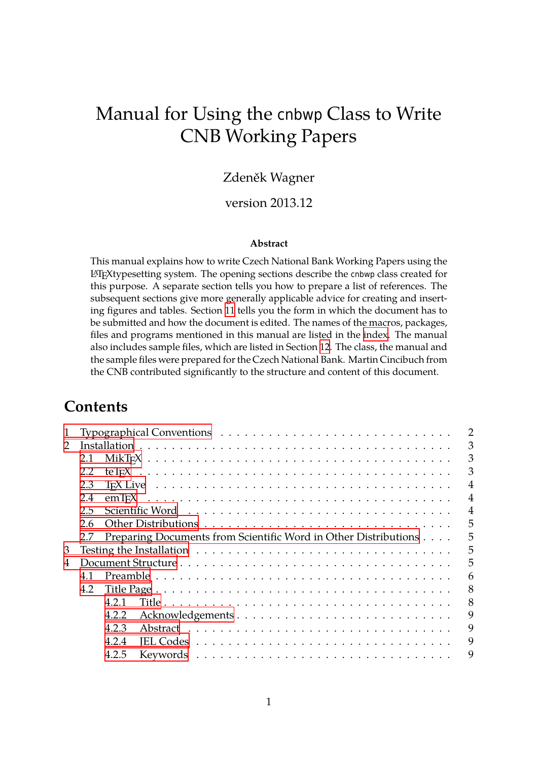# Manual for Using the cnbwp Class to Write CNB Working Papers

### Zdeněk Wagner

### version 2013.12

#### **Abstract**

This manual explains how to write Czech National Bank Working Papers using the LATEXtypesetting system. The opening sections describe the cnbwp class created for this purpose. A separate section tells you how to prepare a list of references. The subsequent sections give more generally applicable advice for creating and inserting figures and tables. Section 11 tells you the form in which the document has to be submitted and how the document is edited. The names of the macros, packages, files and programs mentioned in this manual are listed in the index. The manual also includes sample files, which are listed in Section 12. The class, the manual and the sample files were prepared [for](#page-29-0) the Czech National Bank. Martin Cincibuch from the CNB contributed significantly to the structure and content [of this](#page-38-0) document.

## **Contents**

| 1 |     |       |                                                                 |  |  | $\overline{2}$ |
|---|-----|-------|-----------------------------------------------------------------|--|--|----------------|
| 2 |     |       |                                                                 |  |  | 3              |
|   | 2.1 |       |                                                                 |  |  | 3              |
|   | 2.2 |       |                                                                 |  |  | 3              |
|   | 2.3 |       |                                                                 |  |  | 4              |
|   | 2.4 |       |                                                                 |  |  | $\overline{4}$ |
|   | 2.5 |       |                                                                 |  |  | 4              |
|   | 2.6 |       |                                                                 |  |  | 5              |
|   | 2.7 |       | Preparing Documents from Scientific Word in Other Distributions |  |  | 5              |
| 3 |     |       |                                                                 |  |  | 5              |
| 4 |     |       |                                                                 |  |  | 5              |
|   | 4.1 |       |                                                                 |  |  | 6              |
|   | 4.2 |       |                                                                 |  |  | 8              |
|   |     | 4 2 1 |                                                                 |  |  | 8              |
|   |     | 4.2.2 |                                                                 |  |  | 9              |
|   |     | 4.2.3 |                                                                 |  |  | 9              |
|   |     | 4.2.4 |                                                                 |  |  | 9              |
|   |     | 4.2.5 |                                                                 |  |  | 9              |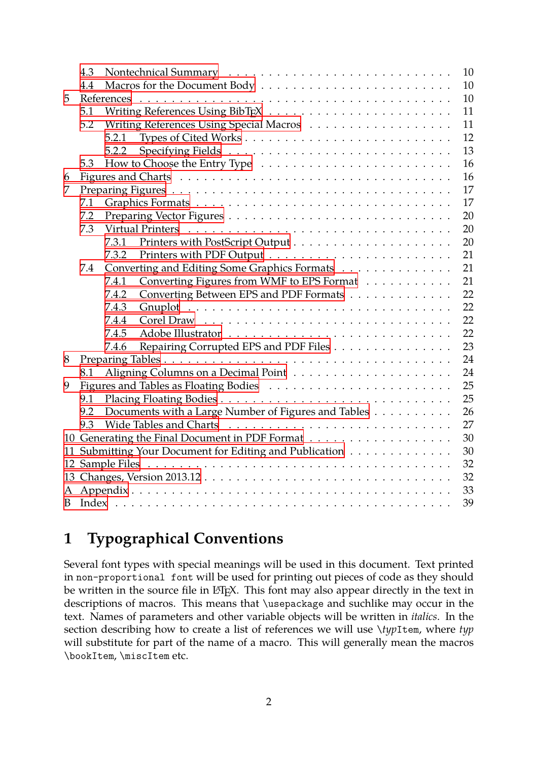<span id="page-1-1"></span>

|    | 4.3 |       |                                                         | 10 |
|----|-----|-------|---------------------------------------------------------|----|
|    | 4.4 |       |                                                         | 10 |
| 5  |     |       |                                                         | 10 |
|    | 5.1 |       |                                                         | 11 |
|    | 5.2 |       |                                                         | 11 |
|    |     | 5.2.1 |                                                         | 12 |
|    |     | 5.2.2 |                                                         | 13 |
|    | 5.3 |       |                                                         | 16 |
| 6  |     |       |                                                         | 16 |
| 7  |     |       |                                                         | 17 |
|    | 7.1 |       |                                                         | 17 |
|    | 7.2 |       |                                                         | 20 |
|    | 7.3 |       |                                                         | 20 |
|    |     | 7.3.1 |                                                         | 20 |
|    |     | 7.3.2 |                                                         | 21 |
|    | 7.4 |       | Converting and Editing Some Graphics Formats            | 21 |
|    |     | 7.4.1 | Converting Figures from WMF to EPS Format               | 21 |
|    |     | 7.4.2 | Converting Between EPS and PDF Formats                  | 22 |
|    |     | 7.4.3 |                                                         | 22 |
|    |     | 7.4.4 |                                                         | 22 |
|    |     | 7.4.5 |                                                         | 22 |
|    |     | 7.4.6 | Repairing Corrupted EPS and PDF Files                   | 23 |
| 8  |     |       |                                                         | 24 |
|    | 8.1 |       |                                                         | 24 |
| 9  |     |       |                                                         | 25 |
|    | 9.1 |       |                                                         | 25 |
|    | 9.2 |       | Documents with a Large Number of Figures and Tables     | 26 |
|    | 9.3 |       |                                                         | 27 |
|    |     |       |                                                         | 30 |
|    |     |       | 11 Submitting Your Document for Editing and Publication | 30 |
|    |     |       |                                                         | 32 |
|    |     |       |                                                         | 32 |
| A  |     |       |                                                         | 33 |
| B. |     |       |                                                         | 39 |

# **[1 Typog](#page-32-0)raphical Conventions**

<span id="page-1-0"></span>Several font types with special meanings will be used in this document. Text printed in non-proportional font will be used for printing out pieces of code as they should be written in the source file in L<sup>AT</sup>EX. This font may also appear directly in the text in descriptions of macros. This means that \usepackage and suchlike may occur in the text. Names of parameters and other variable objects will be written in *italics*. In the section describing how to create a list of references we will use \*typ*Item, where *typ* will substitute for part of the name of a macro. This will generally mean the macros \bookItem, \miscItem etc.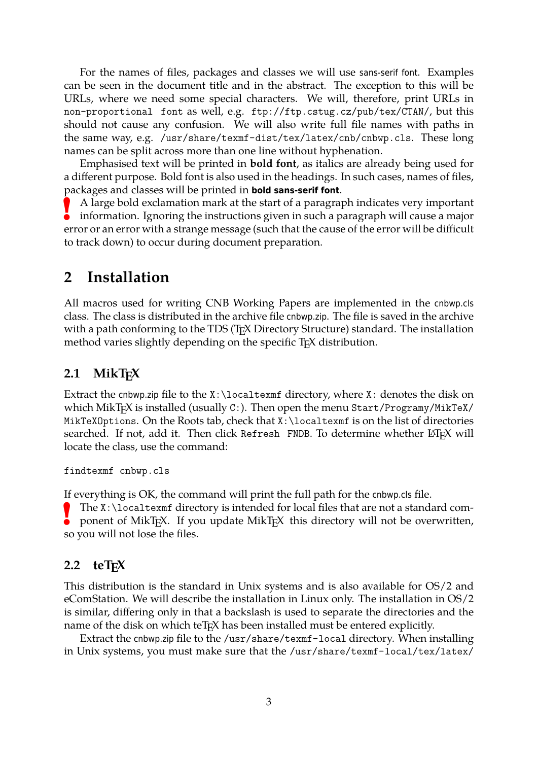<span id="page-2-3"></span>For the names of files, packages and classes we will use sans-serif font. Examples can be seen in the document title and in the abstract. The exception to this will be URLs, where we need some special characters. We will, therefore, print URLs in non-proportional font as well, e.g. ftp://ftp.cstug.cz/pub/tex/CTAN/, but this should not cause any confusion. We will also write full file names with paths in the same way, e.g. /usr/share/texmf-dist/tex/latex/cnb/cnbwp.cls. These long names can be split across more than one line without hyphenation.

Emphasised text will be printed in **bold font**, as italics are already being used for a different purpose. Bold font is also used in the headings. In such cases, names of files, packages and classes will be printed in **bold sans-serif font**.

**!** A large bold exclamation mark at the start of a paragraph indicates very important information. Ignoring the instructions given in such a paragraph will cause a major error or an error with a strange message (such that the cause of the error will be difficult to track down) to occur during document preparation.

### <span id="page-2-0"></span>**2 Installation**

All macros used for writing CNB Working Papers are implemented in the cnbwp.cls class. The class is distributed in the archive file cnbwp.zip. The file is saved in the archive with a path conforming to the TDS (T<sub>F</sub>X Directory Structure) standard. The installation method varies slightly depending on the specific T<sub>E</sub>X distribution.

### <span id="page-2-1"></span>**2.1 MikTEX**

Extract the cnbwp.zip file to the  $X:\lambda$  caltexmf directory, where  $X:\lambda$  denotes the disk on which MikT<sub>E</sub>X is installed (usually C:). Then open the menu Start/Programy/MikTeX/ MikTeXOptions. On the Roots tab, check that X: \localtexmf is on the list of directories searched. If not, add it. Then click Refresh FNDB. To determine whether LATEX will locate the class, use the command:

findtexmf cnbwp.cls

If everything is OK, the command will print the full path for the cnbwp.cls file.

The X:\localtexmf directory is intended for local files that are not a standard component of MikT<sub>E</sub>X. If you update MikT<sub>E</sub>X this directory will not be overwritten, ponent of MikT<sub>E</sub>X. If you update MikT<sub>E</sub>X this directory will not be overwritten, so you will not lose the files.

#### <span id="page-2-2"></span>**2.2 teT<sub>E</sub>X**

This distribution is the standard in Unix systems and is also available for OS/2 and eComStation. We will describe the installation in Linux only. The installation in OS/2 is similar, differing only in that a backslash is used to separate the directories and the name of the disk on which teT<sub>E</sub>X has been installed must be entered explicitly.

Extract the cnbwp.zip file to the /usr/share/texmf-local directory. When installing in Unix systems, you must make sure that the /usr/share/texmf-local/tex/latex/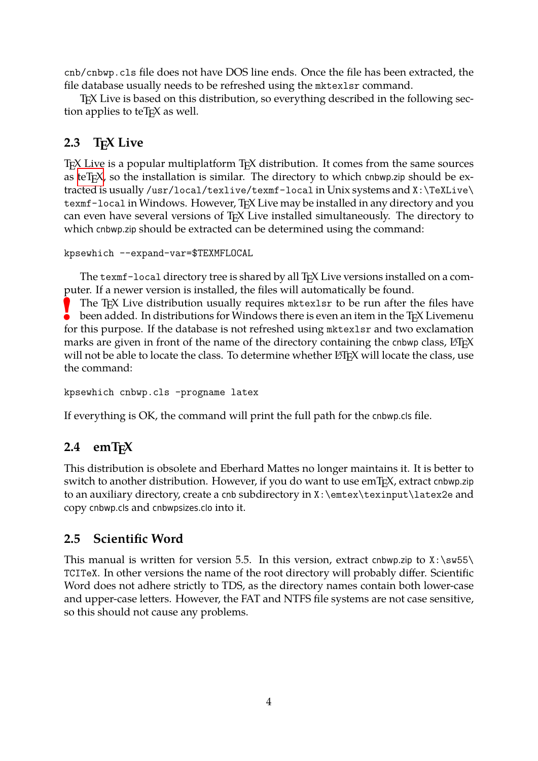cnb/cnbwp.cls file does not have DOS line ends. Once the file has been extracted, the file database usually needs to be refreshed using the mktexlsr command.

<span id="page-3-3"></span>TEX Live is based on this distribution, so everything described in the following section applies to teT<sub>E</sub>X as well.

## **2.3 TEX Live**

<span id="page-3-0"></span>T<sub>E</sub>X Live is a popular multiplatform T<sub>E</sub>X distribution. It comes from the same sources as teT<sub>E</sub>X, so the installation is similar. The directory to which cnbwp.zip should be extracted is usually /usr/local/texlive/texmf-local in Unix systems and X:\TeXLive\ texmf-local in Windows. However, TEX Live may be installed in any directory and you ca[n even](#page-2-2) have several versions of TEX Live installed simultaneously. The directory to which cnbwp.zip should be extracted can be determined using the command:

```
kpsewhich --expand-var=$TEXMFLOCAL
```
The texmf-local directory tree is shared by all T<sub>E</sub>X Live versions installed on a computer. If a newer version is installed, the files will automatically be found.

**!** The T<sub>E</sub>X Live distribution usually requires metterlar to be run after the files have been added. In distributions for Windows there is even an item in the T<sub>E</sub>X Livemenu for this purpose. If the database is not refreshed using mktexlsr and two exclamation marks are given in front of the name of the directory containing the cnbwp class, LATFX will not be able to locate the class. To determine whether  $\mathbb{E}$ T<sub>F</sub>X will locate the class, use the command:

```
kpsewhich cnbwp.cls -progname latex
```
If everything is OK, the command will print the full path for the cnbwp.cls file.

## **2.4 emTEX**

<span id="page-3-1"></span>This distribution is obsolete and Eberhard Mattes no longer maintains it. It is better to switch to another distribution. However, if you do want to use  $emT<sub>F</sub>X$ , extract cnbwp.zip to an auxiliary directory, create a cnb subdirectory in X:\emtex\texinput\latex2e and copy cnbwp.cls and cnbwpsizes.clo into it.

## **2.5 Scientific Word**

<span id="page-3-2"></span>This manual is written for version 5.5. In this version, extract cnbwp.zip to  $X:\s$ w55\ TCITeX. In other versions the name of the root directory will probably differ. Scientific Word does not adhere strictly to TDS, as the directory names contain both lower-case and upper-case letters. However, the FAT and NTFS file systems are not case sensitive, so this should not cause any problems.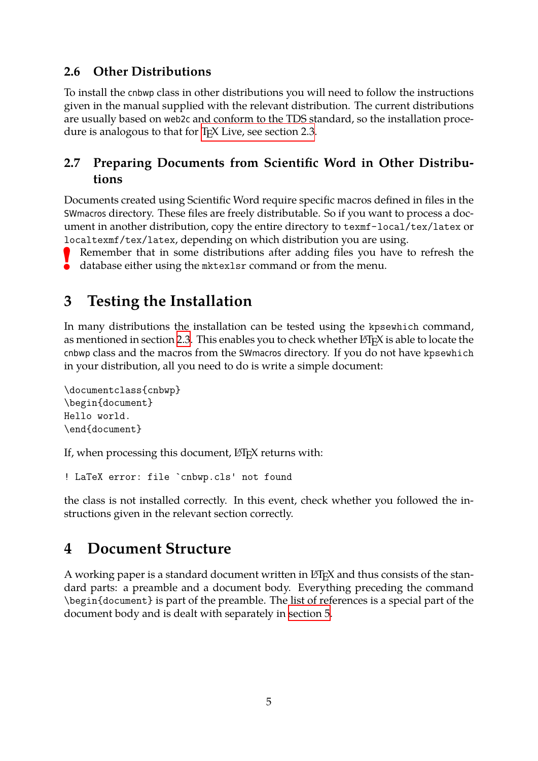## **2.6 Other Distributions**

<span id="page-4-0"></span>To install the cnbwp class in other distributions you will need to follow the instructions given in the manual supplied with the relevant distribution. The current distributions are usually based on web2c and conform to the TDS standard, so the installation procedure is analogous to that for T<sub>E</sub>X Live, see section 2.3.

## **2.7 Preparing Docum[ents from Scientific](#page-3-0) Word in Other Distributions**

<span id="page-4-1"></span>Documents created using Scientific Word require specific macros defined in files in the SWmacros directory. These files are freely distributable. So if you want to process a document in another distribution, copy the entire directory to texmf-local/tex/latex or localtexmf/tex/latex, depending on which distribution you are using.

**!** Remember that in some distributions after adding files you have to refresh the database either using the mktexlsr command or from the menu.

# **3 Testing the Installation**

<span id="page-4-2"></span>In many distributions the installation can be tested using the kpsewhich command, as mentioned in section 2.3. This enables you to check whether LT<sub>E</sub>X is able to locate the cnbwp class and the macros from the SWmacros directory. If you do not have kpsewhich in your distribution, all you need to do is write a simple document:

```
\documentclass{cnbwp}
\begin{document}
Hello world.
\end{document}
```
If, when processing this document, LAT<sub>E</sub>X returns with:

! LaTeX error: file `cnbwp.cls' not found

the class is not installed correctly. In this event, check whether you followed the instructions given in the relevant section correctly.

# **4 Document Structure**

<span id="page-4-3"></span>A working paper is a standard document written in  $E$ F<sub>F</sub>X and thus consists of the standard parts: a preamble and a document body. Everything preceding the command \begin{document} is part of the preamble. The list of references is a special part of the document body and is dealt with separately in section 5.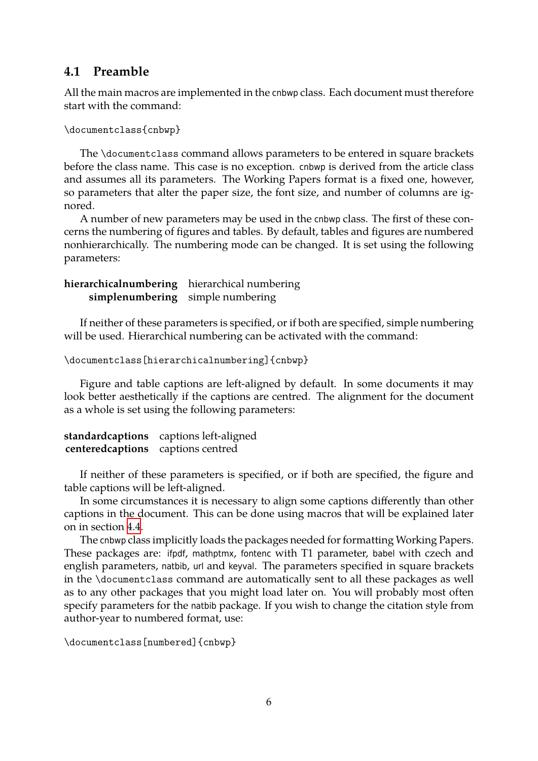### **4.1 Preamble**

All the main macros are implemented in the cnbwp class. Each document must therefore start with the command:

```
\documentclass{cnbwp}
```
The \documentclass command allows parameters to be entered in square brackets before the class name. This case is no exception. cnbwp is derived from the article class and assumes all its parameters. The Working Papers format is a fixed one, however, so parameters that alter the paper size, the font size, and number of columns are ignored.

A number of new parameters may be used in the cnbwp class. The first of these concerns the numbering of figures and tables. By default, tables and figures are numbered nonhierarchically. The numbering mode can be changed. It is set using the following parameters:

#### **hierarchicalnumbering** hierarchical numbering **simplenumbering** simple numbering

If neither of these parameters is specified, or if both are specified, simple numbering will be used. Hierarchical numbering can be activated with the command:

```
\documentclass[hierarchicalnumbering]{cnbwp}
```
Figure and table captions are left-aligned by default. In some documents it may look better aesthetically if the captions are centred. The alignment for the document as a whole is set using the following parameters:

|                                   | standardcaptions captions left-aligned |
|-----------------------------------|----------------------------------------|
| centeredcaptions captions centred |                                        |

If neither of these parameters is specified, or if both are specified, the figure and table captions will be left-aligned.

In some circumstances it is necessary to align some captions differently than other captions in the document. This can be done using macros that will be explained later on in section 4.4.

The cnbwp class implicitly loads the packages needed for formatting Working Papers. These packages are: ifpdf, mathptmx, fontenc with T1 parameter, babel with czech and english para[met](#page-9-1)ers, natbib, url and keyval. The parameters specified in square brackets in the \documentclass command are automatically sent to all these packages as well as to any other packages that you might load later on. You will probably most often specify parameters for the natbib package. If you wish to change the citation style from author-year to numbered format, use:

```
\documentclass[numbered]{cnbwp}
```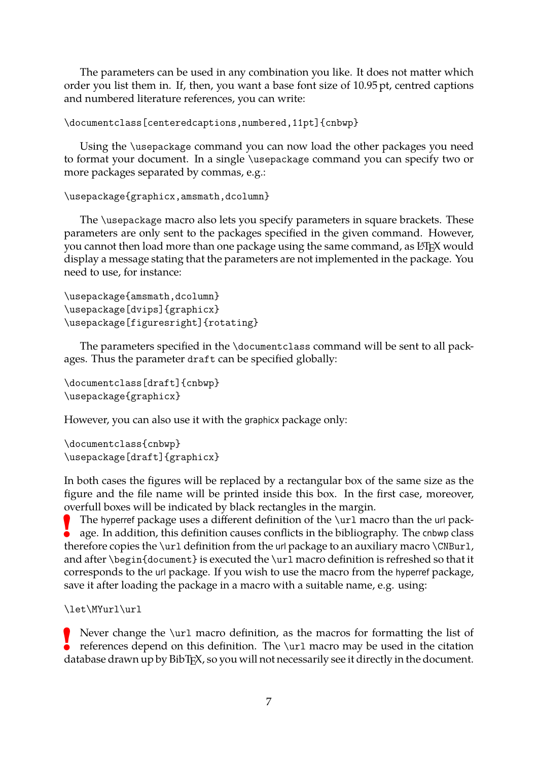<span id="page-6-0"></span>The parameters can be used in any combination you like. It does not matter which order you list them in. If, then, you want a base font size of 10.95 pt, centred captions and numbered literature references, you can write:

```
\documentclass[centeredcaptions,numbered,11pt]{cnbwp}
```
Using the \usepackage command you can now load the other packages you need to format your document. In a single \usepackage command you can specify two or more packages separated by commas, e.g.:

```
\usepackage{graphicx,amsmath,dcolumn}
```
The \usepackage macro also lets you specify parameters in square brackets. These parameters are only sent to the packages specified in the given command. However, you cannot then load more than one package using the same command, as LATEX would display a message stating that the parameters are not implemented in the package. You need to use, for instance:

```
\usepackage{amsmath,dcolumn}
\usepackage[dvips]{graphicx}
\usepackage[figuresright]{rotating}
```
The parameters specified in the \documentclass command will be sent to all packages. Thus the parameter draft can be specified globally:

```
\documentclass[draft]{cnbwp}
\usepackage{graphicx}
```
However, you can also use it with the graphicx package only:

\documentclass{cnbwp} \usepackage[draft]{graphicx}

In both cases the figures will be replaced by a rectangular box of the same size as the figure and the file name will be printed inside this box. In the first case, moreover, overfull boxes will be indicated by black rectangles in the margin.

**!** The hyperref package uses a different definition of the \url macro than the url package. In addition, this definition causes conflicts in the bibliography. The cnbwp class therefore copies the \url definition from the url package to an auxiliary macro \CNBurl, and after \begin{document} is executed the \url macro definition is refreshed so that it corresponds to the url package. If you wish to use the macro from the hyperref package, save it after loading the package in a macro with a suitable name, e.g. using:

\let\MYurl\url

**P** Never change the \url macro definition, as the macros for formatting the list of references depend on this definition. The \url macro may be used in the citation Never change the \url macro definition, as the macros for formatting the list of database drawn up by BibT<sub>F</sub>X, so you will not necessarily see it directly in the document.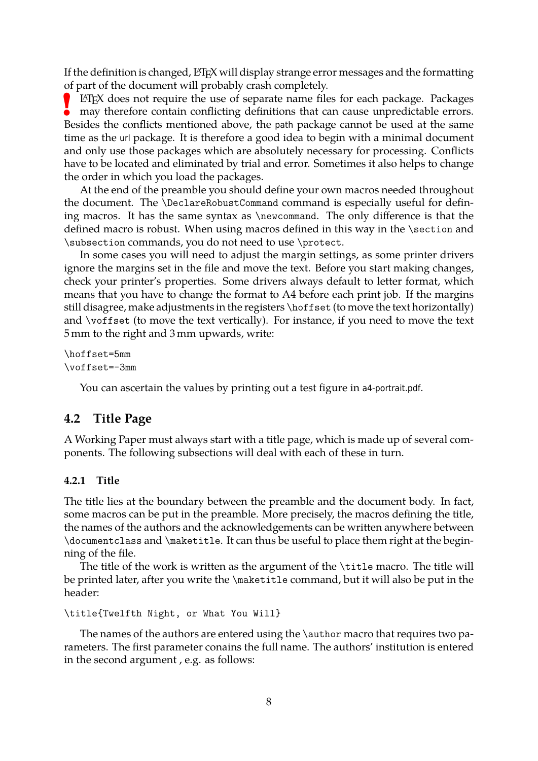<span id="page-7-2"></span>If the definition is changed, LATEX will display strange error messages and the formatting of part of the document will probably crash completely.

**!** LATEX does not require the use of separate name files for each package. Packages may therefore contain conflicting definitions that can cause unpredictable errors. Besides the conflicts mentioned above, the path package cannot be used at the same time as the url package. It is therefore a good idea to begin with a minimal document and only use those packages which are absolutely necessary for processing. Conflicts have to be located and eliminated by trial and error. Sometimes it also helps to change the order in which you load the packages.

At the end of the preamble you should define your own macros needed throughout the document. The \DeclareRobustCommand command is especially useful for defining macros. It has the same syntax as \newcommand. The only difference is that the defined macro is robust. When using macros defined in this way in the \section and \subsection commands, you do not need to use \protect.

In some cases you will need to adjust the margin settings, as some printer drivers ignore the margins set in the file and move the text. Before you start making changes, check your printer's properties. Some drivers always default to letter format, which means that you have to change the format to A4 before each print job. If the margins still disagree, make adjustments in the registers \hoffset (to move the text horizontally) and \voffset (to move the text vertically). For instance, if you need to move the text 5 mm to the right and 3 mm upwards, write:

\hoffset=5mm \voffset=-3mm

You can ascertain the values by printing out a test figure in a4-portrait.pdf.

#### <span id="page-7-0"></span>**4.2 Title Page**

A Working Paper must always start with a title page, which is made up of several components. The following subsections will deal with each of these in turn.

#### <span id="page-7-1"></span>**4.2.1 Title**

The title lies at the boundary between the preamble and the document body. In fact, some macros can be put in the preamble. More precisely, the macros defining the title, the names of the authors and the acknowledgements can be written anywhere between \documentclass and \maketitle. It can thus be useful to place them right at the beginning of the file.

The title of the work is written as the argument of the \title macro. The title will be printed later, after you write the \maketitle command, but it will also be put in the header:

```
\title{Twelfth Night, or What You Will}
```
The names of the authors are entered using the \author macro that requires two parameters. The first parameter conains the full name. The authors' institution is entered in the second argument , e.g. as follows: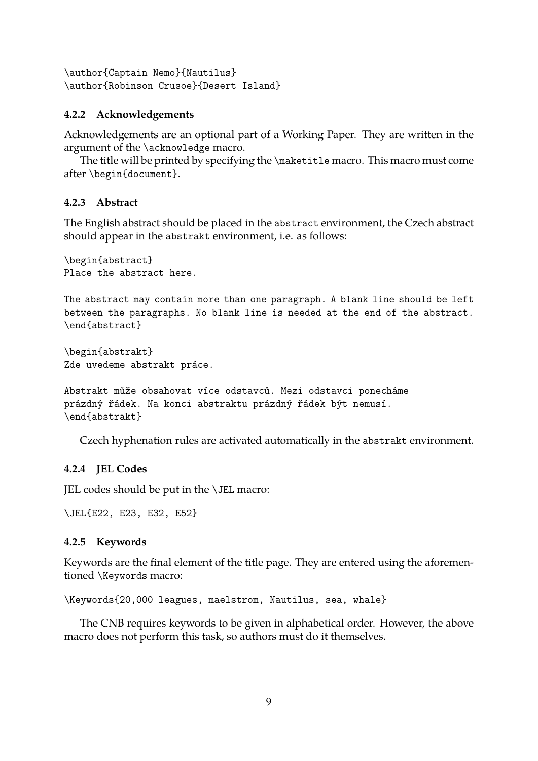<span id="page-8-2"></span>\author{Captain Nemo}{Nautilus} \author{Robinson Crusoe}{Desert Island}

#### <span id="page-8-0"></span>**4.2.2 Acknowledgements**

Acknowledgements are an optional part of a Working Paper. They are written in the argument of the \acknowledge macro.

The title will be printed by specifying the \maketitle macro. This macro must come after \begin{document}.

#### **4.2.3 Abstract**

The English abstract should be placed in the abstract environment, the Czech abstract should appear in the abstrakt environment, i.e. as follows:

\begin{abstract} Place the abstract here.

The abstract may contain more than one paragraph. A blank line should be left between the paragraphs. No blank line is needed at the end of the abstract. \end{abstract}

\begin{abstrakt} Zde uvedeme abstrakt práce.

```
Abstrakt může obsahovat více odstavců. Mezi odstavci ponecháme
prázdný řádek. Na konci abstraktu prázdný řádek být nemusí.
\end{abstrakt}
```
Czech hyphenation rules are activated automatically in the abstrakt environment.

#### **4.2.4 JEL Codes**

JEL codes should be put in the \JEL macro:

\JEL{E22, E23, E32, E52}

#### <span id="page-8-1"></span>**4.2.5 Keywords**

Keywords are the final element of the title page. They are entered using the aforementioned \Keywords macro:

\Keywords{20,000 leagues, maelstrom, Nautilus, sea, whale}

The CNB requires keywords to be given in alphabetical order. However, the above macro does not perform this task, so authors must do it themselves.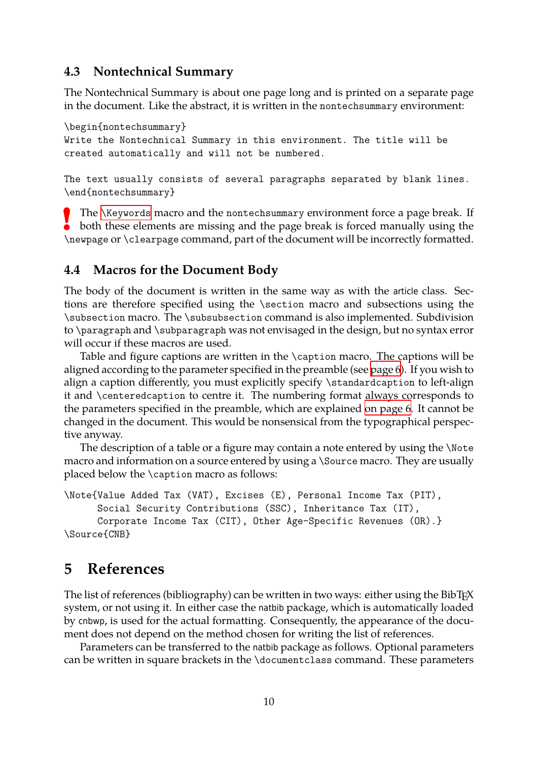### **4.3 Nontechnical Summary**

The Nontechnical Summary is about one page long and is printed on a separate page in the document. Like the abstract, it is written in the nontechsummary environment:

<span id="page-9-3"></span><span id="page-9-0"></span>\begin{nontechsummary} Write the Nontechnical Summary in this environment. The title will be created automatically and will not be numbered.

The text usually consists of several paragraphs separated by blank lines. \end{nontechsummary}

**!** The \Keywords macro and the nontechsummary environment force a page break. If both these elements are missing and the page break is forced manually using the \newpage or \clearpage command, part of the document will be incorrectly formatted.

### **4.4 [Macros fo](#page-8-1)r the Document Body**

<span id="page-9-1"></span>The body of the document is written in the same way as with the article class. Sections are therefore specified using the \section macro and subsections using the \subsection macro. The \subsubsection command is also implemented. Subdivision to \paragraph and \subparagraph was not envisaged in the design, but no syntax error will occur if these macros are used.

Table and figure captions are written in the \caption macro. The captions will be aligned according to the parameter specified in the preamble (see page 6). If you wish to align a caption differently, you must explicitly specify \standardcaption to left-align it and \centeredcaption to centre it. The numbering format always corresponds to the parameters specified in the preamble, which are explained [on page](#page-5-0) 6. It cannot be changed in the document. This would be nonsensical from the typographical perspective anyway.

The description of a table or a figure may contain a note ent[ered by usi](#page-5-0)ng the \Note macro and information on a source entered by using a \Source macro. They are usually placed below the \caption macro as follows:

```
\Note{Value Added Tax (VAT), Excises (E), Personal Income Tax (PIT),
      Social Security Contributions (SSC), Inheritance Tax (IT),
      Corporate Income Tax (CIT), Other Age-Specific Revenues (OR).}
\Source{CNB}
```
## **5 References**

<span id="page-9-2"></span>The list of references (bibliography) can be written in two ways: either using the BibT<sub>E</sub>X system, or not using it. In either case the natbib package, which is automatically loaded by cnbwp, is used for the actual formatting. Consequently, the appearance of the document does not depend on the method chosen for writing the list of references.

Parameters can be transferred to the natbib package as follows. Optional parameters can be written in square brackets in the \documentclass command. These parameters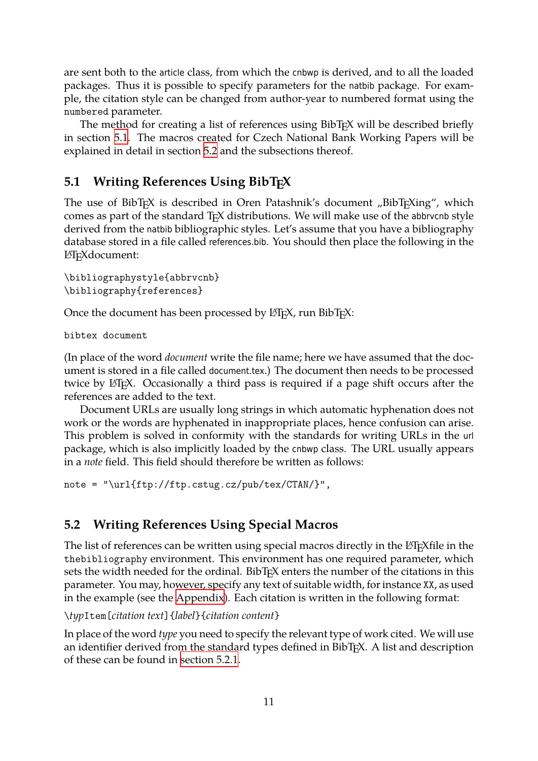are sent both to the article class, from which the cnbwp is derived, and to all the loaded packages. Thus it is possible to specify parameters for the natbib package. For example, the citation style can be changed from author-year to numbered format using the numbered parameter.

<span id="page-10-2"></span>The method for creating a list of references using BibT<sub>EX</sub> will be described briefly in section 5.1. The macros created for Czech National Bank Working Papers will be explained in detail in section 5.2 and the subsections thereof.

## **5.1 Wr[itin](#page-10-0)g Reference[s U](#page-10-1)sing BibTEX**

<span id="page-10-0"></span>The use of BibT<sub>E</sub>X is described in Oren Patashnik's document "BibT<sub>E</sub>Xing", which comes as part of the standard  $TrX$  distributions. We will make use of the abbryon style derived from the natbib bibliographic styles. Let's assume that you have a bibliography database stored in a file called references.bib. You should then place the following in the LATEXdocument:

```
\bibliographystyle{abbrvcnb}
\bibliography{references}
```
Once the document has been processed by LATEX, run BibTEX:

bibtex document

(In place of the word *document* write the file name; here we have assumed that the document is stored in a file called document.tex.) The document then needs to be processed twice by LAT<sub>E</sub>X. Occasionally a third pass is required if a page shift occurs after the references are added to the text.

Document URLs are usually long strings in which automatic hyphenation does not work or the words are hyphenated in inappropriate places, hence confusion can arise. This problem is solved in conformity with the standards for writing URLs in the url package, which is also implicitly loaded by the cnbwp class. The URL usually appears in a *note* field. This field should therefore be written as follows:

```
note = "\url{ftp://ftp.cstug.cz/pub/tex/CTAN/}",
```
## **5.2 Writing References Using Special Macros**

<span id="page-10-1"></span>The list of references can be written using special macros directly in the LATEX file in the thebibliography environment. This environment has one required parameter, which sets the width needed for the ordinal. BibT<sub>E</sub>X enters the number of the citations in this parameter. You may, however, specify any text of suitable width, for instance XX, as used in the example (see the Appendix). Each citation is written in the following format:

\*typ*Item[*citation text*]{*label*}{*citation content*}

In place of the word *type* you need to specify the relevant type of work cited. We will use an identifier derived fr[om the stan](#page-32-0)dard types defined in BibT<sub>E</sub>X. A list and description of these can be found in section 5.2.1.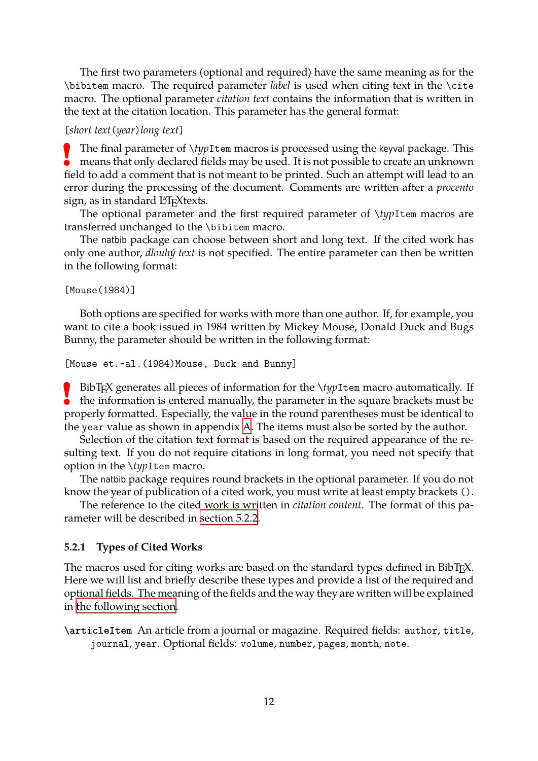The first two parameters (optional and required) have the same meaning as for the \bibitem macro. The required parameter *label* is used when citing text in the \cite macro. The optional parameter *citation text* contains the information that is written in the text at the citation location. This parameter has the general format:

#### <span id="page-11-1"></span>[*short text*(*year*)*long text*]

The final parameter of *\typ*Item macros is processed using the keyval package. This means that only declared fields may be used. It is not possible to create an unknown The final parameter of \*typ*Item macros is processed using the keyval package. This field to add a comment that is not meant to be printed. Such an attempt will lead to an error during the processing of the document. Comments are written after a *procento* sign, as in standard L<sup>AT</sup>F<sub>X</sub> texts.

The optional parameter and the first required parameter of \*typ*Item macros are transferred unchanged to the \bibitem macro.

The natbib package can choose between short and long text. If the cited work has only one author, *dlouhý text* is not specified. The entire parameter can then be written in the following format:

[Mouse(1984)]

Both options are specified for works with more than one author. If, for example, you want to cite a book issued in 1984 written by Mickey Mouse, Donald Duck and Bugs Bunny, the parameter should be written in the following format:

```
[Mouse et.~al.(1984)Mouse, Duck and Bunny]
```
**EX** BibTEX generates all pieces of information for the *\typItem macro automatically.* If the information is entered manually, the parameter in the square brackets must be BibT<sub>E</sub>X generates all pieces of information for the *\typItem macro automatically*. If properly formatted. Especially, the value in the round parentheses must be identical to the year value as shown in appendix A. The items must also be sorted by the author.

Selection of the citation text format is based on the required appearance of the resulting text. If you do not require citations in long format, you need not specify that option in the \*typ*Item macro.

The natbib package requires round [br](#page-32-0)ackets in the optional parameter. If you do not know the year of publication of a cited work, you must write at least empty brackets ().

The reference to the cited work is written in *citation content*. The format of this parameter will be described in section 5.2.2.

#### **5.2.1 Types of Cited Works**

<span id="page-11-0"></span>The macros used for citing [works are ba](#page-12-0)sed on the standard types defined in BibT<sub>E</sub>X. Here we will list and briefly describe these types and provide a list of the required and optional fields. The meaning of the fields and the way they are written will be explained in the following section.

**\articleItem** An article from a journal or magazine. Required fields: author, title, [journal](#page-12-0), year. Optional fields: volume, number, pages, month, note.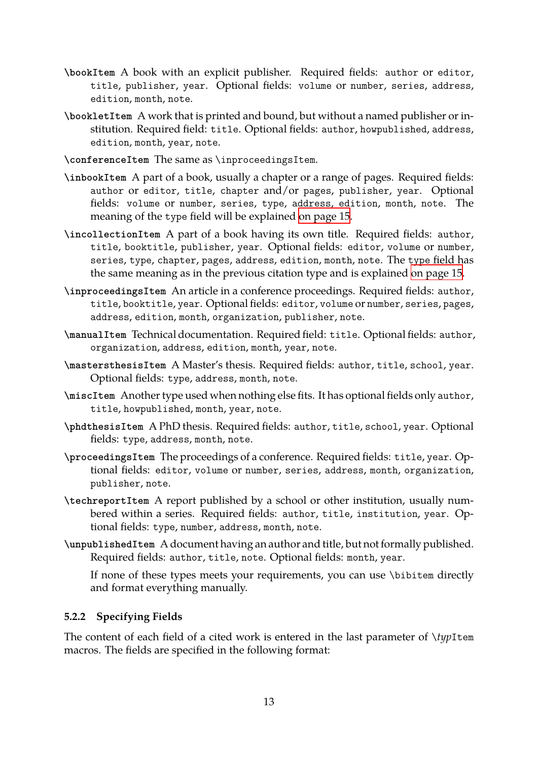- **\bookItem** A book with an explicit publisher. Required fields: author or editor, title, publisher, year. Optional fields: volume or number, series, address, edition, month, note.
- <span id="page-12-1"></span>**\bookletItem** A work that is printed and bound, but without a named publisher or institution. Required field: title. Optional fields: author, howpublished, address, edition, month, year, note.
- **\conferenceItem** The same as \inproceedingsItem.
- **\inbookItem** A part of a book, usually a chapter or a range of pages. Required fields: author or editor, title, chapter and/or pages, publisher, year. Optional fields: volume or number, series, type, address, edition, month, note. The meaning of the type field will be explained on page 15.
- **\incollectionItem** A part of a book having its own title. Required fields: author, title, booktitle, publisher, year. Optional fields: editor, volume or number, series, type, chapter, pages, address, edition, [month](#page-12-0), note. The type field has the same meaning as in the previous citation type and is explained on page 15.
- **\inproceedingsItem** An article in a conference proceedings. Required fields: author, title, booktitle, year. Optional fields: editor, volume or number, series[,](#page-12-0) pages, address, edition, month, organization, publisher, note.
- **\manualItem** Technical documentation. Required field: title. Optional fields: author, organization, address, edition, month, year, note.
- **\mastersthesisItem** A Master's thesis. Required fields: author, title, school, year. Optional fields: type, address, month, note.
- **\miscItem** Another type used when nothing else fits. It has optional fields only author, title, howpublished, month, year, note.
- **\phdthesisItem** A PhD thesis. Required fields: author, title, school, year. Optional fields: type, address, month, note.
- **\proceedingsItem** The proceedings of a conference. Required fields: title, year. Optional fields: editor, volume or number, series, address, month, organization, publisher, note.
- **\techreportItem** A report published by a school or other institution, usually numbered within a series. Required fields: author, title, institution, year. Optional fields: type, number, address, month, note.
- **\unpublishedItem** A document having an author and title, but not formally published. Required fields: author, title, note. Optional fields: month, year.

If none of these types meets your requirements, you can use \bibitem directly and format everything manually.

#### **5.2.2 Specifying Fields**

<span id="page-12-0"></span>The content of each field of a cited work is entered in the last parameter of \*typ*Item macros. The fields are specified in the following format: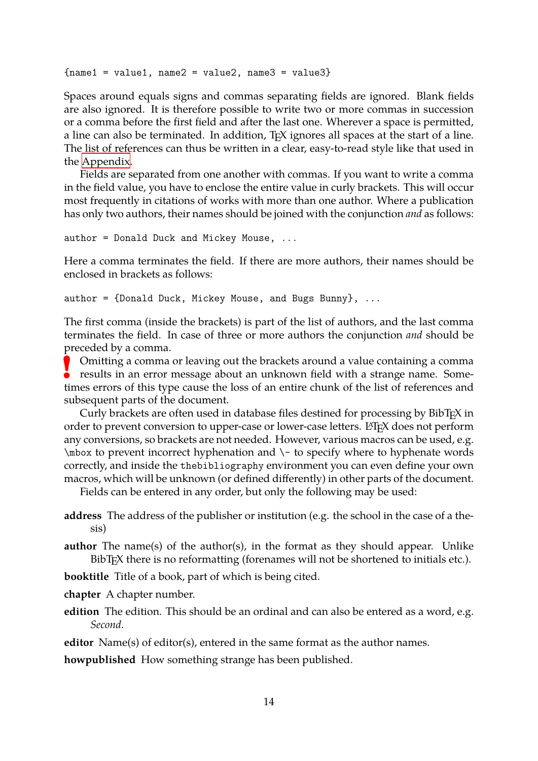```
{\{name1 = value1, name2 = value2, name3 = value3\}}
```
<span id="page-13-0"></span>Spaces around equals signs and commas separating fields are ignored. Blank fields are also ignored. It is therefore possible to write two or more commas in succession or a comma before the first field and after the last one. Wherever a space is permitted, a line can also be terminated. In addition, TEX ignores all spaces at the start of a line. The list of references can thus be written in a clear, easy-to-read style like that used in the Appendix.

Fields are separated from one another with commas. If you want to write a comma in the field value, you have to enclose the entire value in curly brackets. This will occur mo[st frequent](#page-32-0)ly in citations of works with more than one author. Where a publication has only two authors, their names should be joined with the conjunction *and* as follows:

```
author = Donald Duck and Mickey Mouse, ...
```
Here a comma terminates the field. If there are more authors, their names should be enclosed in brackets as follows:

```
author = \{Donald Duck, Mickey Mouse, and Bugs Bunny\}, \ldots
```
The first comma (inside the brackets) is part of the list of authors, and the last comma terminates the field. In case of three or more authors the conjunction *and* should be preceded by a comma.

**!** Omitting a comma or leaving out the brackets around a value containing a comma results in an error message about an unknown field with a strange name. Sometimes errors of this type cause the loss of an entire chunk of the list of references and subsequent parts of the document.

Curly brackets are often used in database files destined for processing by BibTEX in order to prevent conversion to upper-case or lower-case letters. LATEX does not perform any conversions, so brackets are not needed. However, various macros can be used, e.g. \mbox to prevent incorrect hyphenation and \- to specify where to hyphenate words correctly, and inside the thebibliography environment you can even define your own macros, which will be unknown (or defined differently) in other parts of the document.

Fields can be entered in any order, but only the following may be used:

- **address** The address of the publisher or institution (e.g. the school in the case of a thesis)
- **author** The name(s) of the author(s), in the format as they should appear. Unlike BibT<sub>E</sub>X there is no reformatting (forenames will not be shortened to initials etc.).
- **booktitle** Title of a book, part of which is being cited.
- **chapter** A chapter number.
- **edition** The edition. This should be an ordinal and can also be entered as a word, e.g. *Second*.

**editor** Name(s) of editor(s), entered in the same format as the author names.

**howpublished** How something strange has been published.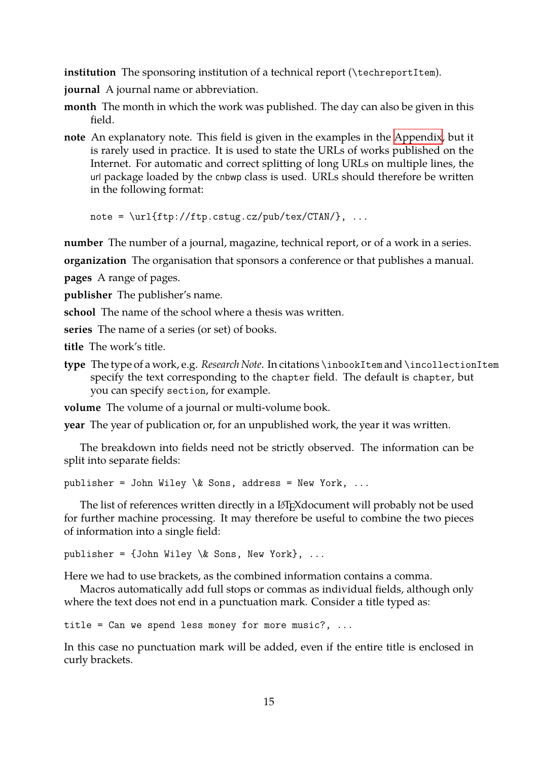**institution** The sponsoring institution of a technical report (\techreportItem).

**journal** A journal name or abbreviation.

- <span id="page-14-0"></span>**month** The month in which the work was published. The day can also be given in this field.
- **note** An explanatory note. This field is given in the examples in the Appendix, but it is rarely used in practice. It is used to state the URLs of works published on the Internet. For automatic and correct splitting of long URLs on multiple lines, the url package loaded by the cnbwp class is used. URLs should the[refore be w](#page-32-0)ritten in the following format:

note =  $\url{ftp://ftp.cstug.cz/pub/tex/CTAN/}, ...$ 

**number** The number of a journal, magazine, technical report, or of a work in a series.

**organization** The organisation that sponsors a conference or that publishes a manual. **pages** A range of pages.

**publisher** The publisher's name.

**school** The name of the school where a thesis was written.

**series** The name of a series (or set) of books.

**title** The work's title.

**type** The type of a work, e.g. *Research Note*. In citations \inbookItem and \incollectionItem specify the text corresponding to the chapter field. The default is chapter, but you can specify section, for example.

**volume** The volume of a journal or multi-volume book.

**year** The year of publication or, for an unpublished work, the year it was written.

The breakdown into fields need not be strictly observed. The information can be split into separate fields:

publisher = John Wiley  $\&$  Sons, address = New York, ...

The list of references written directly in a LATEX document will probably not be used for further machine processing. It may therefore be useful to combine the two pieces of information into a single field:

```
publisher = \{John Wiley \& Sons, New York\}, ...
```
Here we had to use brackets, as the combined information contains a comma.

Macros automatically add full stops or commas as individual fields, although only where the text does not end in a punctuation mark. Consider a title typed as:

```
title = Can we spend less money for more music?, \ldots
```
In this case no punctuation mark will be added, even if the entire title is enclosed in curly brackets.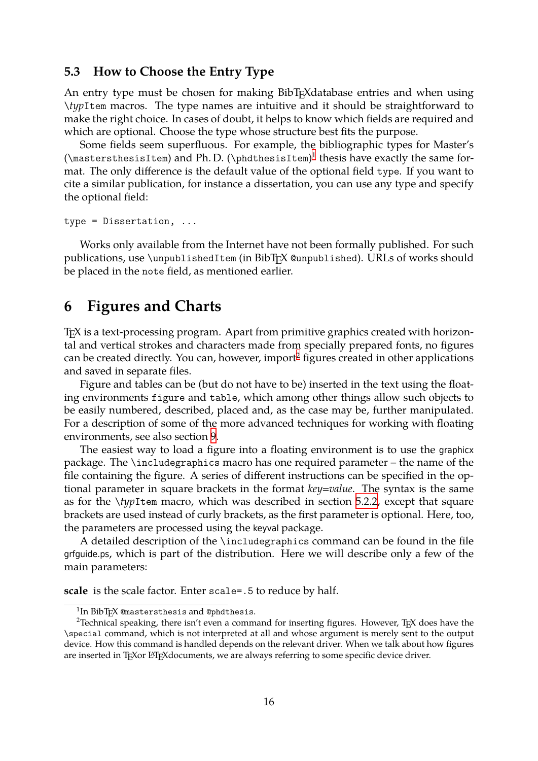#### **5.3 How to Choose the Entry Type**

<span id="page-15-3"></span><span id="page-15-0"></span>An entry type must be chosen for making BibT<sub>E</sub>Xdatabase entries and when using \*typ*Item macros. The type names are intuitive and it should be straightforward to make the right choice. In cases of doubt, it helps to know which fields are required and which are optional. Choose the type whose structure best fits the purpose.

Some fields seem superfluous. For example, the bibliographic types for Master's  $(\mathcal{N})$  ( $\mathcal{N}$ ) and Ph.D.  $(\mathcal{N})$  thesis have exactly the same format. The only difference is the default value of the optional field type. If you want to cite a similar publication, for instance a dissertation, you can use any type and specify the optional field:

type = Dissertation, ...

Works only available from the Internet have not been formally published. For such publications, use \unpublishedItem (in BibTEX @unpublished). URLs of works should be placed in the note field, as mentioned earlier.

## **6 Figures and Charts**

<span id="page-15-1"></span>TEX is a text-processing program. Apart from primitive graphics created with horizontal and vertical strokes and characters made from specially prepared fonts, no figures can be created directly. You can, however, import<sup>2</sup> figures created in other applications and saved in separate files.

Figure and tables can be (but do not have to be) inserted in the text using the floating environments figure and table, which am[on](#page-15-2)g other things allow such objects to be easily numbered, described, placed and, as the case may be, further manipulated. For a description of some of the more advanced techniques for working with floating environments, see also section 9.

The easiest way to load a figure into a floating environment is to use the graphicx package. The \includegraphics macro has one required parameter – the name of the file containing the figure. A s[eri](#page-24-0)es of different instructions can be specified in the optional parameter in square brackets in the format *key=value*. The syntax is the same as for the \*typ*Item macro, which was described in section 5.2.2, except that square brackets are used instead of curly brackets, as the first parameter is optional. Here, too, the parameters are processed using the keyval package.

A detailed description of the \includegraphics comman[d can](#page-12-0) be found in the file grfguide.ps, which is part of the distribution. Here we will describe only a few of the main parameters:

**scale** is the scale factor. Enter scale=.5 to reduce by half.

 $\frac{1}{2}$ In BibT<sub>E</sub>X @mastersthesis and @phdthesis.

<span id="page-15-2"></span><sup>&</sup>lt;sup>2</sup> Technical speaking, there isn't even a command for inserting figures. However, T<sub>E</sub>X does have the \special command, which is not interpreted at all and whose argument is merely sent to the output device. How this command is handled depends on the relevant driver. When we talk about how figures are inserted in TEXor L'TEX documents, we are always referring to some specific device driver.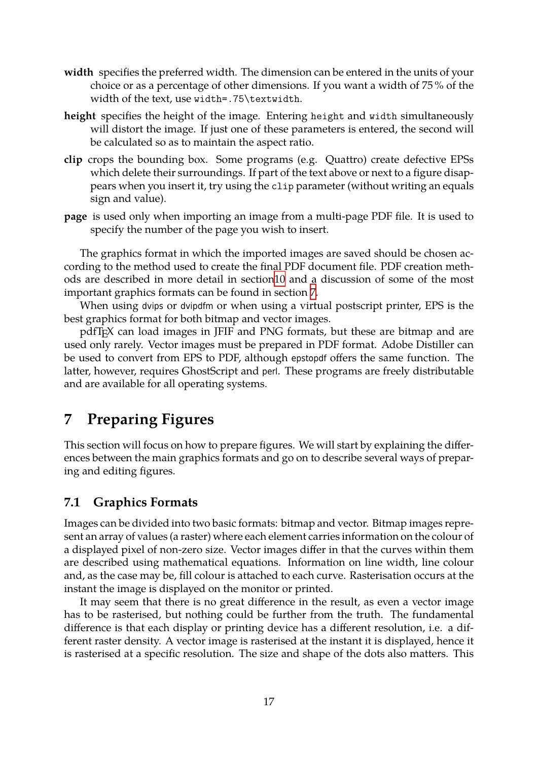- **width** specifies the preferred width. The dimension can be entered in the units of your choice or as a percentage of other dimensions. If you want a width of 75 % of the width of the text, use width=.75\textwidth.
- <span id="page-16-2"></span>**height** specifies the height of the image. Entering height and width simultaneously will distort the image. If just one of these parameters is entered, the second will be calculated so as to maintain the aspect ratio.
- **clip** crops the bounding box. Some programs (e.g. Quattro) create defective EPSs which delete their surroundings. If part of the text above or next to a figure disappears when you insert it, try using the clip parameter (without writing an equals sign and value).
- **page** is used only when importing an image from a multi-page PDF file. It is used to specify the number of the page you wish to insert.

The graphics format in which the imported images are saved should be chosen according to the method used to create the final PDF document file. PDF creation methods are described in more detail in section10 and a discussion of some of the most important graphics formats can be found in section 7.

When using dvips or dvipdfm or when using a virtual postscript printer, EPS is the best graphics format for both bitmap and ve[cto](#page-29-1)r images.

pdfTEX can load images in JFIF and PNG form[at](#page-16-0)s, but these are bitmap and are used only rarely. Vector images must be prepared in PDF format. Adobe Distiller can be used to convert from EPS to PDF, although epstopdf offers the same function. The latter, however, requires GhostScript and perl. These programs are freely distributable and are available for all operating systems.

# **7 Preparing Figures**

<span id="page-16-0"></span>This section will focus on how to prepare figures. We will start by explaining the differences between the main graphics formats and go on to describe several ways of preparing and editing figures.

## **7.1 Graphics Formats**

<span id="page-16-1"></span>Images can be divided into two basic formats: bitmap and vector. Bitmap images represent an array of values (a raster) where each element carries information on the colour of a displayed pixel of non-zero size. Vector images differ in that the curves within them are described using mathematical equations. Information on line width, line colour and, as the case may be, fill colour is attached to each curve. Rasterisation occurs at the instant the image is displayed on the monitor or printed.

It may seem that there is no great difference in the result, as even a vector image has to be rasterised, but nothing could be further from the truth. The fundamental difference is that each display or printing device has a different resolution, i.e. a different raster density. A vector image is rasterised at the instant it is displayed, hence it is rasterised at a specific resolution. The size and shape of the dots also matters. This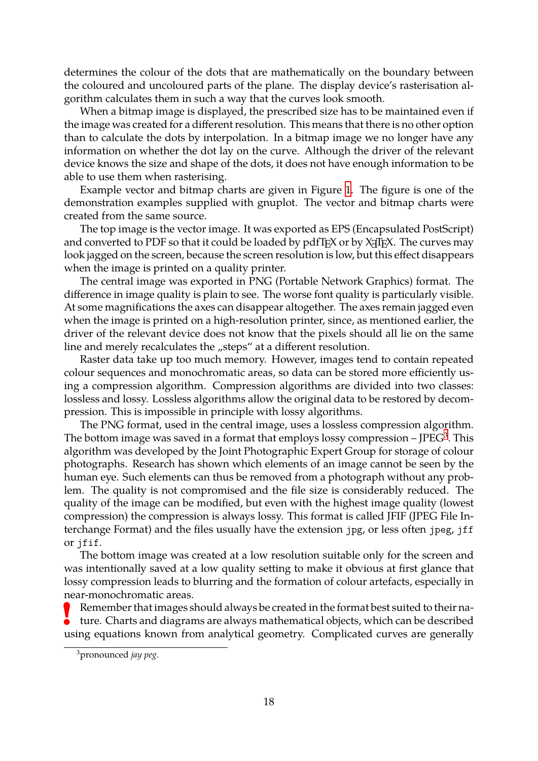determines the colour of the dots that are mathematically on the boundary between the coloured and uncoloured parts of the plane. The display device's rasterisation algorithm calculates them in such a way that the curves look smooth.

<span id="page-17-1"></span>When a bitmap image is displayed, the prescribed size has to be maintained even if the image was created for a different resolution. This means that there is no other option than to calculate the dots by interpolation. In a bitmap image we no longer have any information on whether the dot lay on the curve. Although the driver of the relevant device knows the size and shape of the dots, it does not have enough information to be able to use them when rasterising.

Example vector and bitmap charts are given in Figure 1. The figure is one of the demonstration examples supplied with gnuplot. The vector and bitmap charts were created from the same source.

The top image is the vector image. It was exported as EP[S](#page-18-0) (Encapsulated PostScript) and converted to PDF so that it could be loaded by  $pdfTeX$  or by  $X\exists TEX$ . The curves may look jagged on the screen, because the screen resolution is low, but this effect disappears when the image is printed on a quality printer.

The central image was exported in PNG (Portable Network Graphics) format. The difference in image quality is plain to see. The worse font quality is particularly visible. At some magnifications the axes can disappear altogether. The axes remain jagged even when the image is printed on a high-resolution printer, since, as mentioned earlier, the driver of the relevant device does not know that the pixels should all lie on the same line and merely recalculates the "steps" at a different resolution.

Raster data take up too much memory. However, images tend to contain repeated colour sequences and monochromatic areas, so data can be stored more efficiently using a compression algorithm. Compression algorithms are divided into two classes: lossless and lossy. Lossless algorithms allow the original data to be restored by decompression. This is impossible in principle with lossy algorithms.

The PNG format, used in the central image, uses a lossless compression algorithm. The bottom image was saved in a format that employs lossy compression – JPEG<sup>3</sup>. This algorithm was developed by the Joint Photographic Expert Group for storage of colour photographs. Research has shown which elements of an image cannot be seen by the human eye. Such elements can thus be removed from a photograph without an[y](#page-17-0) problem. The quality is not compromised and the file size is considerably reduced. The quality of the image can be modified, but even with the highest image quality (lowest compression) the compression is always lossy. This format is called JFIF (JPEG File Interchange Format) and the files usually have the extension jpg, or less often jpeg, jff or jfif.

The bottom image was created at a low resolution suitable only for the screen and was intentionally saved at a low quality setting to make it obvious at first glance that lossy compression leads to blurring and the formation of colour artefacts, especially in near-monochromatic areas.

**!** Remember that images should always be created in the format best suited to their nature. Charts and diagrams are always mathematical objects, which can be described using equations known from analytical geometry. Complicated curves are generally

<span id="page-17-0"></span><sup>3</sup>pronounced *jay peg*.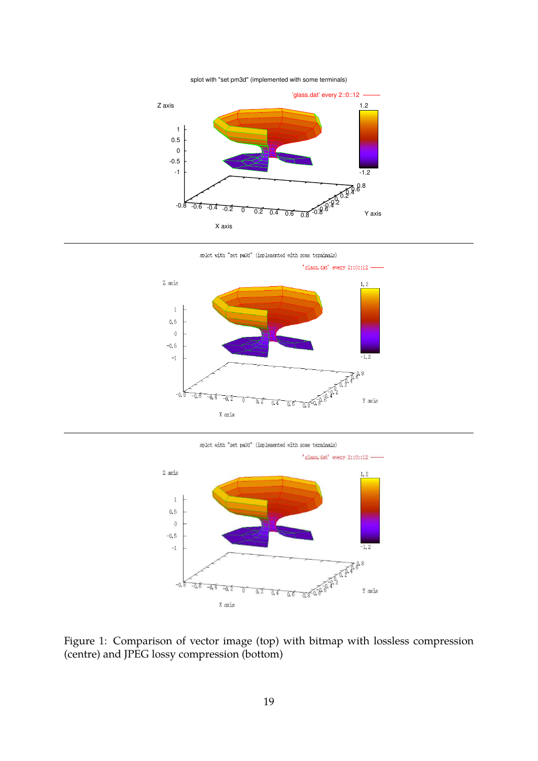#### splot with "set pm3d" (implemented with some terminals)



splot with "set pm3d" (implemented with some terminals)



splot with "set pm3d" (implemented with some terminals)



<span id="page-18-0"></span>Figure 1: Comparison of vector image (top) with bitmap with lossless compression (centre) and JPEG lossy compression (bottom)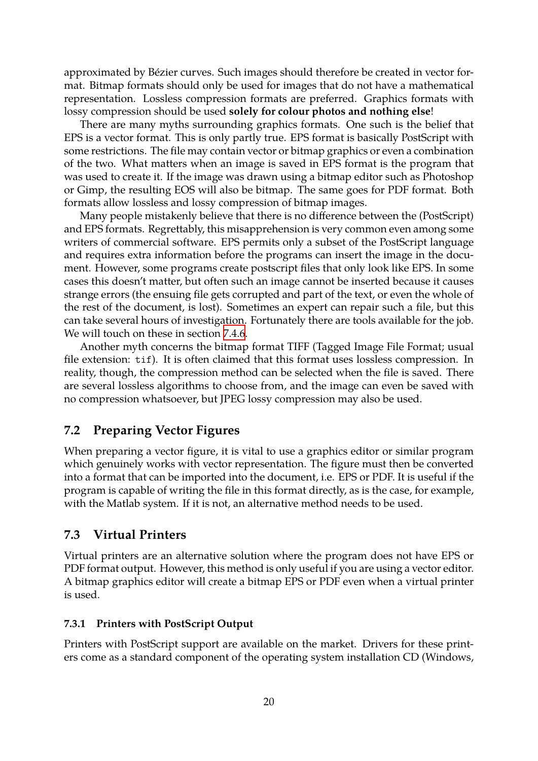approximated by Bézier curves. Such images should therefore be created in vector format. Bitmap formats should only be used for images that do not have a mathematical representation. Lossless compression formats are preferred. Graphics formats with lossy compression should be used **solely for colour photos and nothing else**!

<span id="page-19-3"></span>There are many myths surrounding graphics formats. One such is the belief that EPS is a vector format. This is only partly true. EPS format is basically PostScript with some restrictions. The file may contain vector or bitmap graphics or even a combination of the two. What matters when an image is saved in EPS format is the program that was used to create it. If the image was drawn using a bitmap editor such as Photoshop or Gimp, the resulting EOS will also be bitmap. The same goes for PDF format. Both formats allow lossless and lossy compression of bitmap images.

Many people mistakenly believe that there is no difference between the (PostScript) and EPS formats. Regrettably, this misapprehension is very common even among some writers of commercial software. EPS permits only a subset of the PostScript language and requires extra information before the programs can insert the image in the document. However, some programs create postscript files that only look like EPS. In some cases this doesn't matter, but often such an image cannot be inserted because it causes strange errors (the ensuing file gets corrupted and part of the text, or even the whole of the rest of the document, is lost). Sometimes an expert can repair such a file, but this can take several hours of investigation. Fortunately there are tools available for the job. We will touch on these in section 7.4.6.

Another myth concerns the bitmap format TIFF (Tagged Image File Format; usual file extension: tif). It is often claimed that this format uses lossless compression. In reality, though, the compression [meth](#page-22-0)od can be selected when the file is saved. There are several lossless algorithms to choose from, and the image can even be saved with no compression whatsoever, but JPEG lossy compression may also be used.

### **7.2 Preparing Vector Figures**

<span id="page-19-0"></span>When preparing a vector figure, it is vital to use a graphics editor or similar program which genuinely works with vector representation. The figure must then be converted into a format that can be imported into the document, i.e. EPS or PDF. It is useful if the program is capable of writing the file in this format directly, as is the case, for example, with the Matlab system. If it is not, an alternative method needs to be used.

### **7.3 Virtual Printers**

<span id="page-19-1"></span>Virtual printers are an alternative solution where the program does not have EPS or PDF format output. However, this method is only useful if you are using a vector editor. A bitmap graphics editor will create a bitmap EPS or PDF even when a virtual printer is used.

#### **7.3.1 Printers with PostScript Output**

<span id="page-19-2"></span>Printers with PostScript support are available on the market. Drivers for these printers come as a standard component of the operating system installation CD (Windows,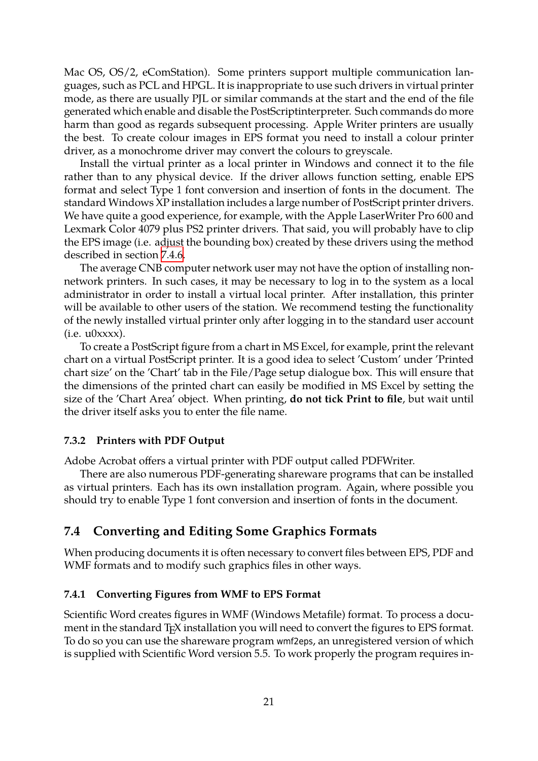<span id="page-20-3"></span>Mac OS, OS/2, eComStation). Some printers support multiple communication languages, such as PCL and HPGL. It is inappropriate to use such drivers in virtual printer mode, as there are usually PJL or similar commands at the start and the end of the file generated which enable and disable the PostScriptinterpreter. Such commands do more harm than good as regards subsequent processing. Apple Writer printers are usually the best. To create colour images in EPS format you need to install a colour printer driver, as a monochrome driver may convert the colours to greyscale.

Install the virtual printer as a local printer in Windows and connect it to the file rather than to any physical device. If the driver allows function setting, enable EPS format and select Type 1 font conversion and insertion of fonts in the document. The standard Windows XP installation includes a large number of PostScript printer drivers. We have quite a good experience, for example, with the Apple LaserWriter Pro 600 and Lexmark Color 4079 plus PS2 printer drivers. That said, you will probably have to clip the EPS image (i.e. adjust the bounding box) created by these drivers using the method described in section 7.4.6.

The average CNB computer network user may not have the option of installing nonnetwork printers. In such cases, it may be necessary to log in to the system as a local administrator in or[der to](#page-22-0) install a virtual local printer. After installation, this printer will be available to other users of the station. We recommend testing the functionality of the newly installed virtual printer only after logging in to the standard user account  $(i.e. u0xxxx).$ 

To create a PostScript figure from a chart in MS Excel, for example, print the relevant chart on a virtual PostScript printer. It is a good idea to select 'Custom' under 'Printed chart size' on the 'Chart' tab in the File/Page setup dialogue box. This will ensure that the dimensions of the printed chart can easily be modified in MS Excel by setting the size of the 'Chart Area' object. When printing, **do not tick Print to file**, but wait until the driver itself asks you to enter the file name.

#### **7.3.2 Printers with PDF Output**

Adobe Acrobat offers a virtual printer with PDF output called PDFWriter.

<span id="page-20-0"></span>There are also numerous PDF-generating shareware programs that can be installed as virtual printers. Each has its own installation program. Again, where possible you should try to enable Type 1 font conversion and insertion of fonts in the document.

#### **7.4 Converting and Editing Some Graphics Formats**

<span id="page-20-1"></span>When producing documents it is often necessary to convert files between EPS, PDF and WMF formats and to modify such graphics files in other ways.

#### **7.4.1 Converting Figures from WMF to EPS Format**

<span id="page-20-2"></span>Scientific Word creates figures in WMF (Windows Metafile) format. To process a document in the standard T<sub>E</sub>X installation you will need to convert the figures to EPS format. To do so you can use the shareware program wmf2eps, an unregistered version of which is supplied with Scientific Word version 5.5. To work properly the program requires in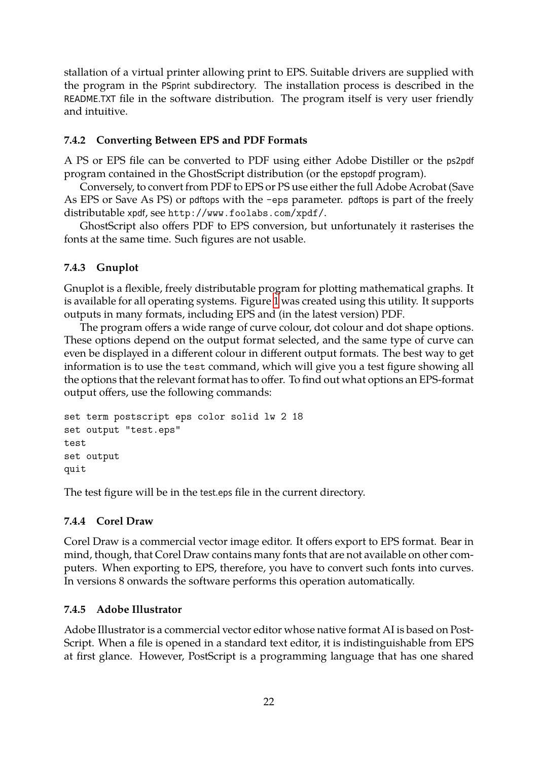stallation of a virtual printer allowing print to EPS. Suitable drivers are supplied with the program in the PSprint subdirectory. The installation process is described in the README.TXT file in the software distribution. The program itself is very user friendly and intuitive.

#### <span id="page-21-4"></span>**7.4.2 Converting Between EPS and PDF Formats**

A PS or EPS file can be converted to PDF using either Adobe Distiller or the ps2pdf program contained in the GhostScript distribution (or the epstopdf program).

<span id="page-21-0"></span>Conversely, to convert from PDF to EPS or PS use either the full Adobe Acrobat (Save As EPS or Save As PS) or pdftops with the -eps parameter. pdftops is part of the freely distributable xpdf, see http://www.foolabs.com/xpdf/.

GhostScript also offers PDF to EPS conversion, but unfortunately it rasterises the fonts at the same time. Such figures are not usable.

### **7.4.3 Gnuplot**

Gnuplot is a flexible, freely distributable program for plotting mathematical graphs. It is available for all operating systems. Figure 1 was created using this utility. It supports outputs in many formats, including EPS and (in the latest version) PDF.

<span id="page-21-1"></span>The program offers a wide range of curve colour, dot colour and dot shape options. These options depend on the output forma[t s](#page-18-0)elected, and the same type of curve can even be displayed in a different colour in different output formats. The best way to get information is to use the test command, which will give you a test figure showing all the options that the relevant format has to offer. To find out what options an EPS-format output offers, use the following commands:

```
set term postscript eps color solid lw 2 18
set output "test.eps"
test
set output
quit
```
The test figure will be in the test.eps file in the current directory.

### **7.4.4 Corel Draw**

<span id="page-21-2"></span>Corel Draw is a commercial vector image editor. It offers export to EPS format. Bear in mind, though, that Corel Draw contains many fonts that are not available on other computers. When exporting to EPS, therefore, you have to convert such fonts into curves. In versions 8 onwards the software performs this operation automatically.

### **7.4.5 Adobe Illustrator**

<span id="page-21-3"></span>Adobe Illustrator is a commercial vector editor whose native format AI is based on Post-Script. When a file is opened in a standard text editor, it is indistinguishable from EPS at first glance. However, PostScript is a programming language that has one shared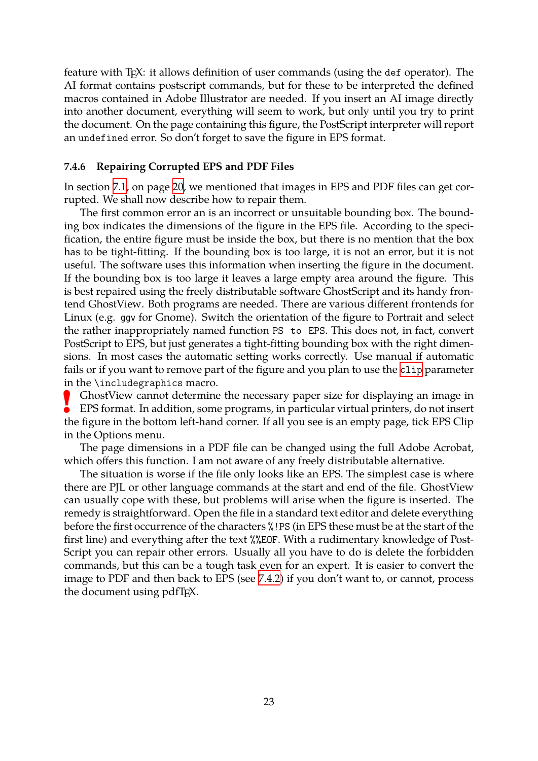<span id="page-22-1"></span>feature with T<sub>E</sub>X: it allows definition of user commands (using the def operator). The AI format contains postscript commands, but for these to be interpreted the defined macros contained in Adobe Illustrator are needed. If you insert an AI image directly into another document, everything will seem to work, but only until you try to print the document. On the page containing this figure, the PostScript interpreter will report an undefined error. So don't forget to save the figure in EPS format.

#### **7.4.6 Repairing Corrupted EPS and PDF Files**

In section 7.1, on page 20, we mentioned that images in EPS and PDF files can get corrupted. We shall now describe how to repair them.

<span id="page-22-0"></span>The first common error an is an incorrect or unsuitable bounding box. The bounding box in[dic](#page-18-0)ates the [dim](#page-18-0)ensions of the figure in the EPS file. According to the specification, the entire figure must be inside the box, but there is no mention that the box has to be tight-fitting. If the bounding box is too large, it is not an error, but it is not useful. The software uses this information when inserting the figure in the document. If the bounding box is too large it leaves a large empty area around the figure. This is best repaired using the freely distributable software GhostScript and its handy frontend GhostView. Both programs are needed. There are various different frontends for Linux (e.g. ggv for Gnome). Switch the orientation of the figure to Portrait and select the rather inappropriately named function PS to EPS. This does not, in fact, convert PostScript to EPS, but just generates a tight-fitting bounding box with the right dimensions. In most cases the automatic setting works correctly. Use manual if automatic fails or if you want to remove part of the figure and you plan to use the clip parameter in the \includegraphics macro.

**!** GhostView cannot determine the necessary paper size for displaying an image in EPS format. In addition, some programs, in particular virtual print[ers, do](#page-15-1) not insert the figure in the bottom left-hand corner. If all you see is an empty page, tick EPS Clip in the Options menu.

The page dimensions in a PDF file can be changed using the full Adobe Acrobat, which offers this function. I am not aware of any freely distributable alternative.

The situation is worse if the file only looks like an EPS. The simplest case is where there are PJL or other language commands at the start and end of the file. GhostView can usually cope with these, but problems will arise when the figure is inserted. The remedy is straightforward. Open the file in a standard text editor and delete everything before the first occurrence of the characters %!PS (in EPS these must be at the start of the first line) and everything after the text %%EOF. With a rudimentary knowledge of Post-Script you can repair other errors. Usually all you have to do is delete the forbidden commands, but this can be a tough task even for an expert. It is easier to convert the image to PDF and then back to EPS (see 7.4.2) if you don't want to, or cannot, process the document using pdfT<sub>F</sub>X.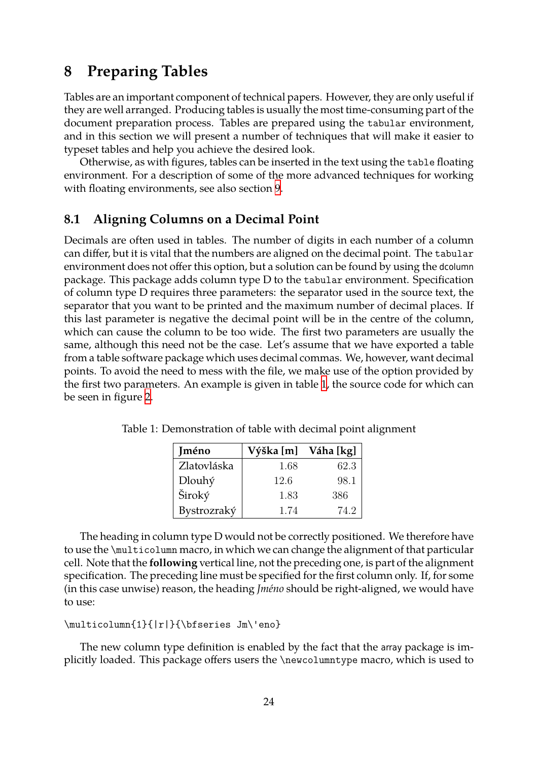# **8 Preparing Tables**

<span id="page-23-3"></span><span id="page-23-0"></span>Tables are an important component of technical papers. However, they are only useful if they are well arranged. Producing tables is usually the most time-consuming part of the document preparation process. Tables are prepared using the tabular environment, and in this section we will present a number of techniques that will make it easier to typeset tables and help you achieve the desired look.

Otherwise, as with figures, tables can be inserted in the text using the table floating environment. For a description of some of the more advanced techniques for working with floating environments, see also section 9.

### **8.1 Aligning Columns on a Decimal Point**

<span id="page-23-1"></span>Decimals are often used in tables. The nu[mb](#page-24-0)er of digits in each number of a column can differ, but it is vital that the numbers are aligned on the decimal point. The tabular environment does not offer this option, but a solution can be found by using the dcolumn package. This package adds column type D to the tabular environment. Specification of column type D requires three parameters: the separator used in the source text, the separator that you want to be printed and the maximum number of decimal places. If this last parameter is negative the decimal point will be in the centre of the column, which can cause the column to be too wide. The first two parameters are usually the same, although this need not be the case. Let's assume that we have exported a table from a table software package which uses decimal commas. We, however, want decimal points. To avoid the need to mess with the file, we make use of the option provided by the first two parameters. An example is given in table 1, the source code for which can be seen in figure 2.

<span id="page-23-2"></span>

| <b>Iméno</b> | Výška [m] | Váha [kg] |
|--------------|-----------|-----------|
| Zlatovláska  | 1.68      | 62.3      |
| Dlouhý       | 12.6      | 98.1      |
| Široký       | 1.83      | 386       |
| Bystrozraký  | 1.74      | 74.2      |

Tabl[e 1](#page-24-2): Demonstration of table with deci[m](#page-23-2)al point alignment

The heading in column type D would not be correctly positioned. We therefore have to use the \multicolumn macro, in which we can change the alignment of that particular cell. Note that the **following** vertical line, not the preceding one, is part of the alignment specification. The preceding line must be specified for the first column only. If, for some (in this case unwise) reason, the heading *Jméno* should be right-aligned, we would have to use:

```
\multicolumn{1}{|r|}{\bfseries Jm\'eno}
```
The new column type definition is enabled by the fact that the array package is implicitly loaded. This package offers users the \newcolumntype macro, which is used to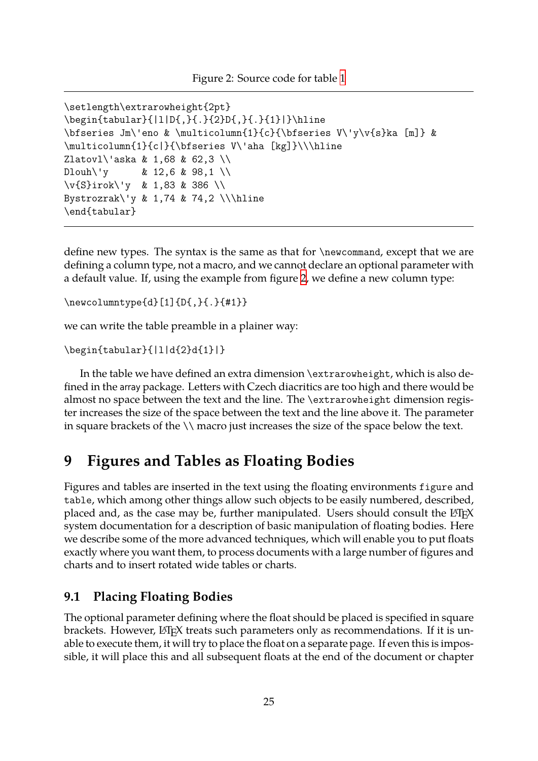<span id="page-24-3"></span><span id="page-24-2"></span>\setlength\extrarowheight{2pt} \begin{tabular}{|1|D{,}{.}{2}D{,}{.}{1}|}\hline \bfseries Jm\'eno & \multicolumn{1}{c}{\bfseries [V\](#page-23-2)'y\v{s}ka [m]} & \multicolumn{1}{c|}{\bfseries V\'aha [kg]}\\\hline Zlatovl\'aska & 1,68 & 62,3 \\ Dlouh\'y & 12,6 & 98,1 \\ \v{S}irok\'y & 1,83 & 386 \\ Bystrozrak\'y & 1,74 & 74,2 \\\hline \end{tabular}

define new types. The syntax is the same as that for \newcommand, except that we are defining a column type, not a macro, and we cannot declare an optional parameter with a default value. If, using the example from figure 2, we define a new column type:

\newcolumntype{d}[1]{D{,}{.}{#1}}

we can write the table preamble in a plainer way:

```
\begin{tabular}{|l|d{2}d{1}|}
```
In the table we have defined an extra dimension \extrarowheight, which is also defined in the array package. Letters with Czech diacritics are too high and there would be almost no space between the text and the line. The \extrarowheight dimension register increases the size of the space between the text and the line above it. The parameter in square brackets of the \\ macro just increases the size of the space below the text.

## **9 Figures and Tables as Floating Bodies**

<span id="page-24-0"></span>Figures and tables are inserted in the text using the floating environments figure and table, which among other things allow such objects to be easily numbered, described, placed and, as the case may be, further manipulated. Users should consult the  $ETrX$ system documentation for a description of basic manipulation of floating bodies. Here we describe some of the more advanced techniques, which will enable you to put floats exactly where you want them, to process documents with a large number of figures and charts and to insert rotated wide tables or charts.

### **9.1 Placing Floating Bodies**

<span id="page-24-1"></span>The optional parameter defining where the float should be placed is specified in square brackets. However, LATEX treats such parameters only as recommendations. If it is unable to execute them, it will try to place the float on a separate page. If even this is impossible, it will place this and all subsequent floats at the end of the document or chapter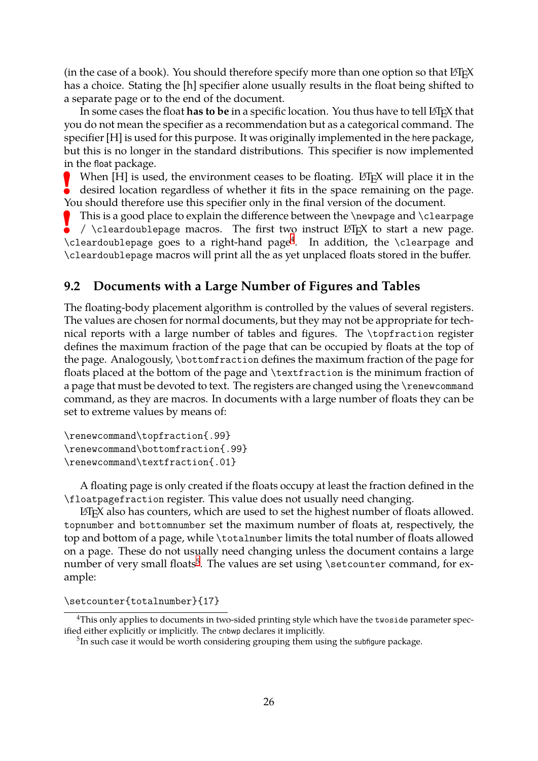(in the case of a book). You should therefore specify more than one option so that  $\Delta F$ <sub>F</sub>X has a choice. Stating the [h] specifier alone usually results in the float being shifted to a separate page or to the end of the document.

<span id="page-25-3"></span>In some cases the float **has to be** in a specific location. You thus have to tell LAT<sub>E</sub>X that you do not mean the specifier as a recommendation but as a categorical command. The specifier [H] is used for this purpose. It was originally implemented in the here package, but this is no longer in the standard distributions. This specifier is now implemented in the float package.

**!** When  $[H]$  is used, the environment ceases to be floating. ET<sub>F</sub>X will place it in the desired location regardless of whether it fits in the space remaining on the page. You should therefore use this specifier only in the final version of the document.

**!** This is a good place to explain the difference between the \newpage and \clearpage /  $\backslash$  cleardoublepage macros. The first two instruct  $\mathbb{E}$ T<sub>F</sub>X to start a new page. \cleardoublepage goes to a right-hand page<sup>4</sup> . In addition, the \clearpage and \cleardoublepage macros will print all the as yet unplaced floats stored in the buffer.

### **9.2 Documents with a Large Number [o](#page-25-1)f Figures and Tables**

<span id="page-25-0"></span>The floating-body placement algorithm is controlled by the values of several registers. The values are chosen for normal documents, but they may not be appropriate for technical reports with a large number of tables and figures. The \topfraction register defines the maximum fraction of the page that can be occupied by floats at the top of the page. Analogously, \bottomfraction defines the maximum fraction of the page for floats placed at the bottom of the page and \textfraction is the minimum fraction of a page that must be devoted to text. The registers are changed using the \renewcommand command, as they are macros. In documents with a large number of floats they can be set to extreme values by means of:

```
\renewcommand\topfraction{.99}
\renewcommand\bottomfraction{.99}
\renewcommand\textfraction{.01}
```
A floating page is only created if the floats occupy at least the fraction defined in the \floatpagefraction register. This value does not usually need changing.

 $E$ F<sub>F</sub> $X$  also has counters, which are used to set the highest number of floats allowed. topnumber and bottomnumber set the maximum number of floats at, respectively, the top and bottom of a page, while \totalnumber limits the total number of floats allowed on a page. These do not usually need changing unless the document contains a large number of very small floats $^5$ . The values are set using \setcounter command, for example:

\setcounter{totalnumber[}{](#page-25-2)17}

<sup>&</sup>lt;sup>4</sup>This only applies to documents in two-sided printing style which have the twoside parameter specified either explicitly or implicitly. The cnbwp declares it implicitly.

<span id="page-25-2"></span><span id="page-25-1"></span> $^5$ In such case it would be worth considering grouping them using the subfigure package.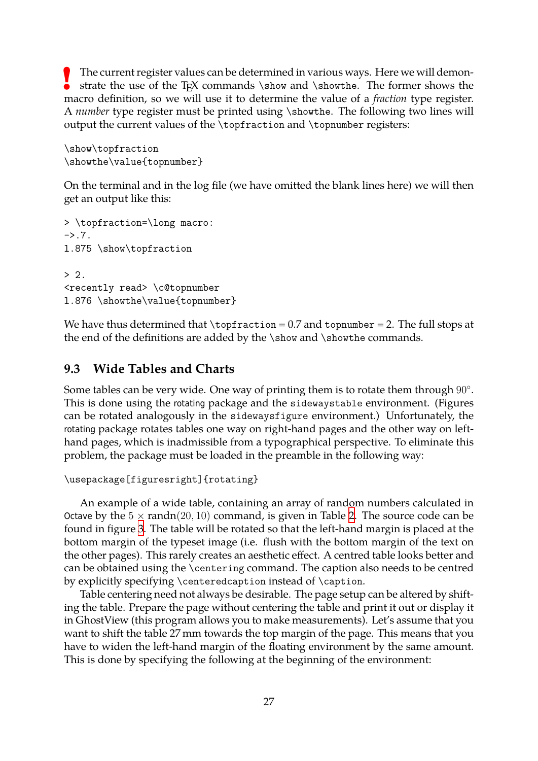**!** The current register values can be determined in various ways. Here we will demonstrate the use of the T<sub>EX</sub> commands  $\s$ how and  $\s$ howthe. The former shows the macro definition, so we will use it to determine the value of a *fraction* type register. A *number* type register must be printed using \showthe. The following two lines will output the current values of the \topfraction and \topnumber registers:

<span id="page-26-1"></span>\show\topfraction \showthe\value{topnumber}

On the terminal and in the log file (we have omitted the blank lines here) we will then get an output like this:

```
> \topfraction=\long macro:
-2.7.
l.875 \show\topfraction
> 2.<recently read> \c@topnumber
l.876 \showthe\value{topnumber}
```
We have thus determined that  $\to$  of raction = 0.7 and topnumber = 2. The full stops at the end of the definitions are added by the \show and \showthe commands.

## **9.3 Wide Tables and Charts**

<span id="page-26-0"></span>Some tables can be very wide. One way of printing them is to rotate them through 90*◦* . This is done using the rotating package and the sidewaystable environment. (Figures can be rotated analogously in the sidewaysfigure environment.) Unfortunately, the rotating package rotates tables one way on right-hand pages and the other way on lefthand pages, which is inadmissible from a typographical perspective. To eliminate this problem, the package must be loaded in the preamble in the following way:

```
\usepackage[figuresright]{rotating}
```
An example of a wide table, containing an array of random numbers calculated in Octave by the  $5 \times \text{randn}(20, 10)$  command, is given in Table 2. The source code can be found in figure 3. The table will be rotated so that the left-hand margin is placed at the bottom margin of the typeset image (i.e. flush with the bottom margin of the text on the other pages). This rarely creates an aesthetic effect. A ce[ntr](#page-27-0)ed table looks better and can be obtaine[d u](#page-28-0)sing the \centering command. The caption also needs to be centred by explicitly specifying \centeredcaption instead of \caption.

Table centering need not always be desirable. The page setup can be altered by shifting the table. Prepare the page without centering the table and print it out or display it in GhostView (this program allows you to make measurements). Let's assume that you want to shift the table 27 mm towards the top margin of the page. This means that you have to widen the left-hand margin of the floating environment by the same amount. This is done by specifying the following at the beginning of the environment: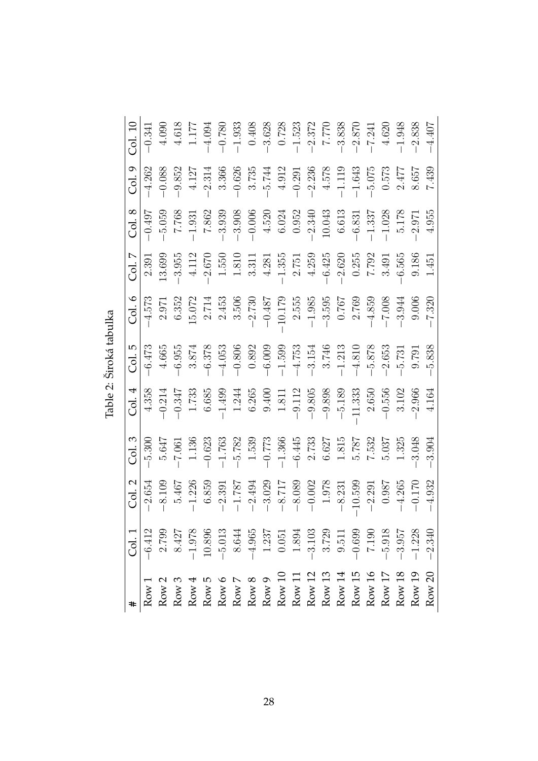|                                                                                                                                                                                                                                                                                          | Col. 1                                                                              | Col. 2    | Col.3                       | $\overline{c}$ ol. 4              | col.5                                       |                                                                                                                |                                                                                                                                                                                       | Col. 8                                                                     | Col.9                                       | Col. 10                                                                                                                                      |
|------------------------------------------------------------------------------------------------------------------------------------------------------------------------------------------------------------------------------------------------------------------------------------------|-------------------------------------------------------------------------------------|-----------|-----------------------------|-----------------------------------|---------------------------------------------|----------------------------------------------------------------------------------------------------------------|---------------------------------------------------------------------------------------------------------------------------------------------------------------------------------------|----------------------------------------------------------------------------|---------------------------------------------|----------------------------------------------------------------------------------------------------------------------------------------------|
| Row $1$                                                                                                                                                                                                                                                                                  | $-6.412$                                                                            | $-2.654$  | $-5.300$                    | 4.358                             | $-6.473$                                    | $\begin{array}{r l} \text{Col.} & \textbf{6} \\ \hline -4.573 \\ \textbf{2.971} \\ \textbf{6.352} \end{array}$ | $\frac{Col. 7}{2.391}$                                                                                                                                                                | $-0.497$                                                                   | $-4.262$                                    | $-0.341$                                                                                                                                     |
| Row $2$                                                                                                                                                                                                                                                                                  | 2.799                                                                               | $-8.109$  | 5.647                       | $-0.214$                          | 4.665                                       |                                                                                                                | 13.699                                                                                                                                                                                | $-5.059$                                                                   | $-0.088$                                    | 4.090                                                                                                                                        |
|                                                                                                                                                                                                                                                                                          | $-1.978$                                                                            | 5.467     | $-7.061$                    | $-0.347$                          |                                             |                                                                                                                |                                                                                                                                                                                       |                                                                            | $-9.852$                                    |                                                                                                                                              |
| $Row 3$<br>Row 4                                                                                                                                                                                                                                                                         |                                                                                     | $-1.226$  | 1.136                       |                                   | $-6.955$<br>$-3.874$<br>$-6.378$            |                                                                                                                | $\begin{array}{r} -3.955 \\ 4.112 \\ -2.670 \\ 1.550 \\ 1.311 \\ 3.311 \\ -1.355 \\ -1.355 \\ -2.620 \\ -2.620 \\ 7.792 \\ 7.135 \\ -2.620 \\ 7.792 \\ 3.491 \\ 3.491 \\ \end{array}$ | $-1.931$                                                                   | 4.127                                       | $\begin{array}{c} 4.618 \\ 1.177 \end{array}$                                                                                                |
| $\begin{array}{l} \text{Row 5} \\ \text{Row 6} \\ \text{Row 7} \\ \text{Row 8} \\ \text{Row 9} \\ \text{Row 11} \\ \text{Row 12} \\ \text{Row 13} \\ \text{Row 14} \\ \text{Row 15} \\ \text{Row 16} \\ \text{Row 17} \\ \text{Row 18} \\ \text{Row 19} \\ \text{Row 16} \\ \end{array}$ | $10.896\,$                                                                          | 6.859     | $-0.623$                    | $1.733$<br>6.685                  |                                             | $\begin{array}{r} 15.072 \\ 2.714 \\ 2.453 \\ 3.506 \\ -2.730 \\ -0.487 \\ -10.179 \\ 2.555 \\ \end{array}$    |                                                                                                                                                                                       | 7.862                                                                      | $-2.314$                                    | $-4.094$                                                                                                                                     |
|                                                                                                                                                                                                                                                                                          | $-5.013$                                                                            | $-2.391$  | $-1.763$                    | $-1.499$                          | $-4.053$                                    |                                                                                                                |                                                                                                                                                                                       | $-3.939$                                                                   | 3.366                                       | $-0.780$                                                                                                                                     |
|                                                                                                                                                                                                                                                                                          |                                                                                     | $-1.787$  |                             | $1.244$<br>6.265                  | $-0.806$<br>0.892                           |                                                                                                                |                                                                                                                                                                                       |                                                                            | $-0.626$                                    |                                                                                                                                              |
|                                                                                                                                                                                                                                                                                          |                                                                                     | $-2.494$  | $-5.782$<br>1.539<br>-0.773 |                                   |                                             |                                                                                                                |                                                                                                                                                                                       |                                                                            |                                             |                                                                                                                                              |
|                                                                                                                                                                                                                                                                                          |                                                                                     | $-3.029$  |                             | 0.400                             | $-6.009$                                    |                                                                                                                |                                                                                                                                                                                       |                                                                            | $3.735$<br>$-5.744$                         |                                                                                                                                              |
|                                                                                                                                                                                                                                                                                          | $\begin{array}{r} 8.644 \\ -4.965 \\ 1.237 \\ 0.051 \\ 1.894 \\ -3.103 \end{array}$ | $-8.717$  | $-1.366$                    | 1.811                             |                                             |                                                                                                                |                                                                                                                                                                                       | $\begin{array}{r} -3.908 \\ -0.006 \\ 4.520 \\ 6.024 \\ 0.952 \end{array}$ | $4.912$                                     | $\begin{array}{r} -1.933 \\ -3.628 \\ -3.628 \\ -1.523 \\ -1.523 \\ -2.372 \\ -3.838 \\ -3.870 \\ -2.870 \\ -7.241 \\ -7.241 \\ \end{array}$ |
|                                                                                                                                                                                                                                                                                          |                                                                                     | $-8.089$  | $-6.445$                    | $-9.112$                          | $-1.599$<br>$-4.753$<br>$-3.154$<br>$3.746$ |                                                                                                                |                                                                                                                                                                                       |                                                                            | $-0.291$<br>$-2.236$<br>$4.578$<br>$-1.119$ |                                                                                                                                              |
|                                                                                                                                                                                                                                                                                          |                                                                                     | $-0.002$  | $2.733$<br>6.627            | $-9.805$                          |                                             |                                                                                                                |                                                                                                                                                                                       | $-2.340$                                                                   |                                             |                                                                                                                                              |
|                                                                                                                                                                                                                                                                                          | 3.729                                                                               | 1.978     |                             | $-9.898$                          |                                             | $\begin{array}{r} -1.985 \\ -3.595 \\ 0.767 \\ 2.769 \end{array}$                                              |                                                                                                                                                                                       | $10.043$<br>$6.613$                                                        |                                             |                                                                                                                                              |
|                                                                                                                                                                                                                                                                                          | $9.511$                                                                             | $-8.231$  | 1.815                       | $-5.189$                          | $-1.213$                                    |                                                                                                                |                                                                                                                                                                                       |                                                                            |                                             |                                                                                                                                              |
|                                                                                                                                                                                                                                                                                          | $-0.699$<br>7.190                                                                   | $-10.599$ | 5.787                       |                                   | $-4.810$                                    |                                                                                                                |                                                                                                                                                                                       | $-6.831$                                                                   | $-1.643$                                    |                                                                                                                                              |
|                                                                                                                                                                                                                                                                                          |                                                                                     | $-2.291$  | 7.532                       |                                   |                                             | $-4.859$                                                                                                       |                                                                                                                                                                                       | $-1.337$                                                                   | $-5.075$                                    |                                                                                                                                              |
| ${\rm Row}\ 17$                                                                                                                                                                                                                                                                          | $-5.918$                                                                            | 0.987     | 5.037                       | $-11.333$<br>$-2.650$<br>$-0.556$ | $-5.878$<br>$-2.653$                        | $-7.008$                                                                                                       |                                                                                                                                                                                       | $-1.028$                                                                   | 0.573                                       | 4.620                                                                                                                                        |
| Row $18$                                                                                                                                                                                                                                                                                 | $-3.957$                                                                            | $-4.265$  | 1.325                       | 3.102                             | $-5.731$                                    | $-3.944$                                                                                                       | $-6.565$                                                                                                                                                                              | 5.178                                                                      | 2.477                                       | $-1.948$                                                                                                                                     |
| Row $19$                                                                                                                                                                                                                                                                                 | $-1.228$                                                                            | $-0.170$  | 3.048                       | $-2.966$                          | 0.791                                       | 9.006                                                                                                          | 9.186                                                                                                                                                                                 | $-2.971$                                                                   | 8.657                                       | $-2.838$                                                                                                                                     |
| Row 20                                                                                                                                                                                                                                                                                   | $-2.340$                                                                            |           | 3.904                       |                                   |                                             |                                                                                                                |                                                                                                                                                                                       | 4.955                                                                      | 7.439                                       |                                                                                                                                              |

<span id="page-27-0"></span>Table 2: Široká tabulka Table 2: Široká tabulka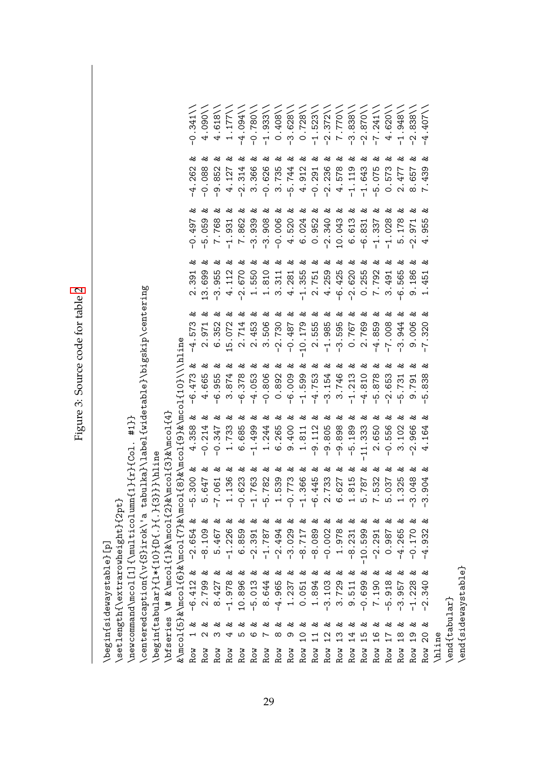<span id="page-28-0"></span>

| $\frac{1}{2}$ |
|---------------|
| 5<br>č        |
| i.            |
|               |
| c<br>CC<br>-  |
|               |
|               |
| <b>CHING</b>  |
| ₹             |
| ζ             |
|               |
| ¢             |
|               |
|               |
| igure         |
|               |
|               |

|                                                                  | \begin{sidewaystable}[p]                                                                   |                    |                                           |                                           |                                           |                                |                                       |                                |                              |                                   |
|------------------------------------------------------------------|--------------------------------------------------------------------------------------------|--------------------|-------------------------------------------|-------------------------------------------|-------------------------------------------|--------------------------------|---------------------------------------|--------------------------------|------------------------------|-----------------------------------|
|                                                                  | setlength{\extrarowheight}{2pt}                                                            |                    |                                           |                                           |                                           |                                |                                       |                                |                              |                                   |
|                                                                  | \newcommand\mcol[1]{\multicolumn                                                           |                    | ${11}$ ${11}$ ${11}$ ${11}$ ${11}$ ${11}$ | $#11$ }                                   |                                           |                                |                                       |                                |                              |                                   |
|                                                                  | \centeredcaption{\v{S}irok\'a ta                                                           |                    |                                           | bulka}\label{widetable}\bigskip\centering |                                           |                                |                                       |                                |                              |                                   |
|                                                                  | \begin{tabular}{1*{10}{D{.}{.}{3                                                           |                    | }}}\hline                                 |                                           |                                           |                                |                                       |                                |                              |                                   |
|                                                                  | $\lambda$ bfseries $\lambda$ # & $\lambda$ mcol{1}& $\lambda$ mcol{2}&                     |                    |                                           | \mcol{3}&\mcol{4}                         |                                           |                                |                                       |                                |                              |                                   |
|                                                                  | $\&\lambda$ mcol $\{5\}$ & $\lambda$ mcol $\{6\}$ & $\lambda$ mcol $\{7\}$ & $\lambda$ mco |                    |                                           | $18$ }&\mcol{9}&\mcol{10}\\\hlin          |                                           |                                |                                       |                                |                              |                                   |
| ళ<br>ᆏ<br>Row                                                    | ళ<br>$-6.412$                                                                              | వ<br>$-2.654$      | వ<br>300<br>ပှု                           | వ<br>358<br>4.<br>4                       | వ<br>$-6.473$                             | చి<br>573<br>4                 | చి<br>39<br>$\mathbf{\Omega}$         | చి<br>-497<br>$\circ$          | చి<br>.262<br>4              | .341<br>$\circ$                   |
| 48<br>N<br>Row                                                   | చి<br>2.799                                                                                | వ<br>$-8.109$      | 48<br>647<br>ς                            | చి<br>214<br>$\dot{\circ}$                | చి<br>665<br>4                            | చి<br>971<br>$\mathbf{\Omega}$ | చి<br>699<br>w                        | చి<br>059<br>Ю                 | చి<br>088<br>ု               | $\sqrt{80}$<br>4                  |
| చి<br>ო<br>Row                                                   | చి<br>8.427                                                                                | ళ<br>5.467         | చి<br>061<br>$\overline{7}$               | చి<br>.347<br>$\overline{P}$              | చి<br>955<br>ဖ                            | 48<br>352<br>G                 | చి<br>955<br>ကို                      | 48<br>768<br>$\sim$            | 48<br>852<br>ႁ               | 618<br>4                          |
| 48<br>4<br>Row                                                   | చి<br>$-1.978$                                                                             | చి<br>$-1.226$     | చి<br>136<br>ᆏ                            | చి<br>.733<br>$\overline{\phantom{0}}$    | చి<br>874<br>S                            | చి<br>072<br>LQ                | చి<br>112<br>4                        | చి<br>931<br>$\frac{1}{1}$     | చి<br>.127<br>4              | 177<br>$\overline{\phantom{0}}$   |
| చి<br>ഥ<br>Row                                                   | చి<br>10.896                                                                               | చి<br>6.859        | చి<br>623<br>$\bigcap$                    | చి<br>685<br>ဖ                            | ಷ<br>.378<br>ဖ                            | చి<br>714<br>$\mathbf{\Omega}$ | చి<br>670<br>$\tilde{C}$              | ళ<br>7.862                     | చి<br>.314<br>$\tilde{C}$    | $\sqrt{1560 \cdot \theta^{-1}}$   |
| చి<br>ဖ<br>Row                                                   | చి<br>.013<br>ம்                                                                           | చి<br>$-2.391$     | చి<br>763<br>$\overline{1}$               | చి<br>.499<br>$\overline{1}$              | చి<br>.053<br>$\overline{4}$              | చి<br>453<br>$\sim$            | చి<br>550<br>$\overline{\phantom{0}}$ | చి<br>939<br>S                 | చి<br>ဖ<br>36<br>w           | $\sqrt{887}$ .<br>$\overline{P}$  |
| చి<br>Ņ<br>Row                                                   | చి<br>8.644                                                                                | చి<br>$-1.787$     | చి<br>782<br>ပြ                           | చి<br>244<br>$\overline{\phantom{0}}$     | చి<br>$-0.806$                            | చి<br>506<br>S                 | చి<br>810<br>$\overline{ }$           | చి<br>$-3.908$                 | చి<br>.626<br>ု              | $\frac{333}{5}$<br>$\overline{1}$ |
| చి<br>∞<br>Row                                                   | వ<br>$-4.965$                                                                              | చి<br>$-2.494$     | 48<br>539<br>$\overline{\phantom{0}}$     | చి<br>265<br>ဖ                            | చి<br>.892<br>$\circ$                     | చి<br>730<br>.<br>ب            | చి<br>311<br>S                        | చి<br>$-0.006$                 | చి<br>.735<br>ო              | $\sqrt{805}$ .<br>$\circ$         |
| చి<br>თ<br>Row                                                   | చి<br>1.237                                                                                | వ<br>$-3.029$      | చి<br>773<br>$\bigcap$                    | చి<br>.400<br>ω                           | చి<br>000.<br>$\frac{6}{1}$               | చి<br>$-0.487$                 | చి<br>281<br>◅                        | చి<br>520<br>4                 | చి<br>.744<br>ပှု            | $\sqrt{828}$<br>ကို               |
| చి<br>$\mathop{c}\limits_{\mathsf{\scriptscriptstyle I}}$<br>Row | చి<br>0.051                                                                                | చి<br>$717.8 -$    | 48<br>366<br>$\overline{1}$               | చి<br>.811<br>$\overline{\phantom{0}}$    | చ<br>.599<br>$\overline{1}$               | చి<br>179<br>$\frac{1}{2}$     | చి<br>355<br>$\overline{1}$           | చి<br>.024<br>$\mathbf \circ$  | చి<br>.912<br>4              | 728<br>$\circ$                    |
| చి<br>Row                                                        | చి<br>1.894                                                                                | చి<br>$-8.089$     | చి<br>445<br>ို                           | ళ<br>9.112                                | చ<br>.753<br>$\overline{4}$               | చి<br>555<br>$\ddot{\Omega}$   | చి<br>751<br>$\sim$                   | చ<br>.952<br>$\circ$           | చి<br>.291<br>$\overline{P}$ | $523\lambda$<br>$\overline{1}$    |
| చి<br>$\mathfrak{u}$<br>Row                                      | చి<br>$-3.103$                                                                             | వ<br>$-0.002$      | చి<br>733<br>$\mathbf{\Omega}$            | చి<br>9.805<br>$\mathbf{I}$               | చి<br>.154<br>S                           | చి<br>985<br>루                 | చి<br>4.259                           | చి<br>$-2.340$                 | చి<br>.236<br>$\tilde{C}$    | 372<br>$\tilde{C}$                |
| 48<br>$\frac{3}{1}$<br>Row                                       | చి<br>3.729                                                                                | చి<br>1.978        | చి<br>627<br>⊙ ⊣                          | చి<br>9.898                               | చి<br>.746<br>S                           | చి<br>595<br>က္ပ               | చి<br>.425<br>ပှ                      | చి<br>10.043                   | చి<br>578<br>4               | 7.770                             |
| చి<br>4<br>Row                                                   | వ<br>9.511                                                                                 | చి<br>$-8.231$     | చి<br>815                                 | చ<br>189<br>.<br>م                        | చి<br>.213<br>루                           | చి<br>767<br>$\circ$           | చి<br>620<br>$\ddot{\Omega}$          | చి<br>613<br>$\circ$           | 48<br>.119<br>루              | 838<br>က္                         |
| చి<br>15<br>Row                                                  | చి<br>$-0.699$                                                                             | చి<br>10.599<br>J. | చి<br>787<br>⊣ م                          | చి<br>.333<br>$\frac{1}{1}$<br>-1         | చి<br>.810<br>4                           | చి<br>769<br>$\mathbf{\Omega}$ | చి<br>255<br>$\circ$                  | చి<br>831<br>$\circ$           | చి<br>.643<br>부              | $\sqrt{0/8}$ .<br>$\tilde{C}$     |
| చి<br>$\frac{6}{1}$<br>Row                                       | చి<br>7.190                                                                                | చి<br>2.291        | చి<br>532                                 | చి<br>650<br>$\mathbf{\sim}$              | చి<br>.878<br>Ю                           | చి<br>859<br>$\overline{4}$    | చి<br>.792<br>$\sim$                  | వ<br>337<br>$\frac{1}{1}$      | చి<br>.075<br>ပှ             | 241<br>$-7$ .                     |
| చి<br>17<br>Row                                                  | 48<br>5.918                                                                                | చి<br>0.987        | చి<br>037<br>ယ                            | 48<br>556<br>$\dot{\circ}$                | చి<br>.653<br>$\mathbf{\Omega}$           | చి<br>$-7.008$                 | చి<br>491<br>ო                        | చి<br>$-1.028$                 | 48<br>573<br>0               | 620<br>4                          |
| -ಜ<br>$\frac{8}{11}$<br>Row                                      | చి<br>3.957                                                                                | చి<br>$-4.265$     | చి<br>325<br>$\overline{\phantom{0}}$     | 48<br>102<br>S                            | ಷ<br>$\overline{\phantom{0}}$<br>.73<br>Ю | చి<br>944<br>ო                 | చి<br>565<br>ပု                       | చి<br>178<br>Б                 | 48<br>477<br>$\mathbf{\sim}$ | $\sqrt{876}$<br>$\overline{1}$    |
| 48<br>$\frac{0}{1}$<br>Row                                       | 48<br>1.228                                                                                | వ<br>$-0.170$      | చి<br>048<br>ო                            | చి<br>966<br>$\mathbf{\Omega}$            | చి<br>791<br>ာ                            | చి<br>006<br>ω                 | చి<br>186<br>ω                        | చి<br>971<br>$\mathbf{\Omega}$ | 48<br>657<br>∞               | $\sqrt{838}$<br>$\mathbf{\Omega}$ |
| చి<br>20<br>Row                                                  | చి<br>340<br>$\mathbf{\Omega}$                                                             | వ<br>932<br>4      | 48<br>904<br>ო                            | చి<br>164<br>4                            | చి<br>∞<br>က္လ<br>Б                       | చి<br>320                      | చి<br><b>ب</b> ة<br>ق<br>4<br>ᅱ       | చి<br>Ю<br>ഥ<br>თ<br>4         | చి<br>თ<br>ო<br>4<br>N       | 407<br>4                          |
| hline                                                            |                                                                                            |                    |                                           |                                           |                                           |                                |                                       |                                |                              |                                   |
| $\begin{cases} end(tabular \end{cases}$                          |                                                                                            |                    |                                           |                                           |                                           |                                |                                       |                                |                              |                                   |
|                                                                  | \end{sidewaystable}                                                                        |                    |                                           |                                           |                                           |                                |                                       |                                |                              |                                   |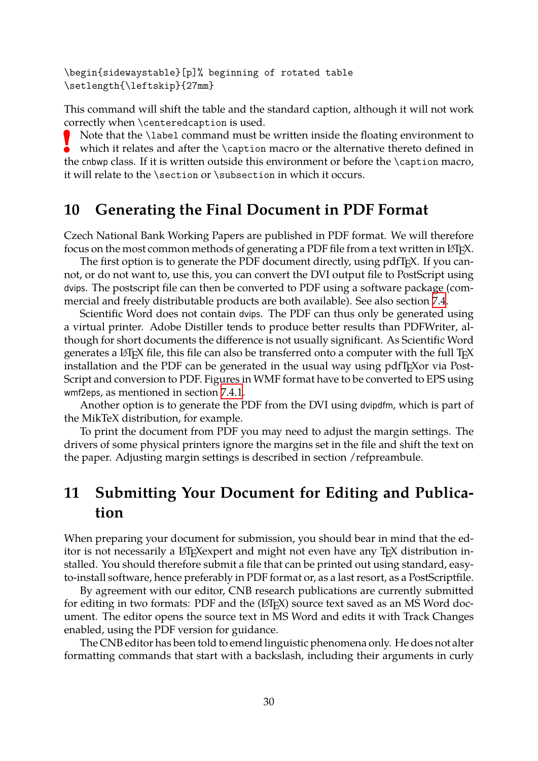\begin{sidewaystable}[p]% beginning of rotated table \setlength{\leftskip}{27mm}

<span id="page-29-2"></span>This command will shift the table and the standard caption, although it will not work correctly when \centeredcaption is used.

**!** Note that the \label command must be written inside the floating environment to which it relates and after the \caption macro or the alternative thereto defined in the cnbwp class. If it is written outside this environment or before the \caption macro, it will relate to the \section or \subsection in which it occurs.

## **10 Generating the Final Document in PDF Format**

<span id="page-29-1"></span>Czech National Bank Working Papers are published in PDF format. We will therefore focus on the most common methods of generating a PDF file from a text written in LAT<sub>E</sub>X.

The first option is to generate the PDF document directly, using pdfT<sub>F</sub>X. If you cannot, or do not want to, use this, you can convert the DVI output file to PostScript using dvips. The postscript file can then be converted to PDF using a software package (commercial and freely distributable products are both available). See also section 7.4.

Scientific Word does not contain dvips. The PDF can thus only be generated using a virtual printer. Adobe Distiller tends to produce better results than PDFWriter, although for short documents the difference is not usually significant. As Scient[ific](#page-20-1) Word generates a  $\Delta E$ <sub>TE</sub>X file, this file can also be transferred onto a computer with the full T<sub>E</sub>X installation and the PDF can be generated in the usual way using pdfT<sub>E</sub>Xor via Post-Script and conversion to PDF. Figures in WMF format have to be converted to EPS using wmf2eps, as mentioned in section 7.4.1.

Another option is to generate the PDF from the DVI using dvipdfm, which is part of the MikTeX distribution, for example.

To print the document from [PDF y](#page-20-2)ou may need to adjust the margin settings. The drivers of some physical printers ignore the margins set in the file and shift the text on the paper. Adjusting margin settings is described in section /refpreambule.

# **11 Submitting Your Document for Editing and Publication**

<span id="page-29-0"></span>When preparing your document for submission, you should bear in mind that the editor is not necessarily a LAT<sub>E</sub>Xexpert and might not even have any T<sub>E</sub>X distribution installed. You should therefore submit a file that can be printed out using standard, easyto-install software, hence preferably in PDF format or, as a last resort, as a PostScriptfile.

By agreement with our editor, CNB research publications are currently submitted for editing in two formats: PDF and the  $(ETEX)$  source text saved as an MS Word document. The editor opens the source text in MS Word and edits it with Track Changes enabled, using the PDF version for guidance.

The CNB editor has been told to emend linguistic phenomena only. He does not alter formatting commands that start with a backslash, including their arguments in curly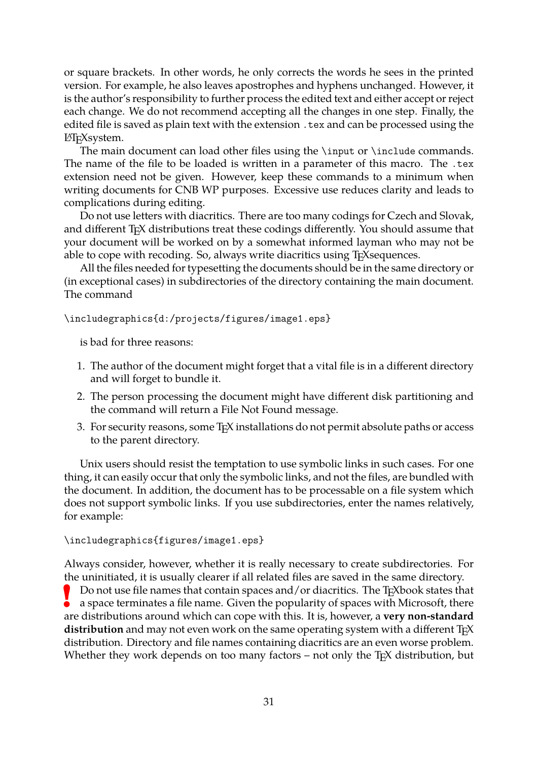or square brackets. In other words, he only corrects the words he sees in the printed version. For example, he also leaves apostrophes and hyphens unchanged. However, it is the author's responsibility to further process the edited text and either accept or reject each change. We do not recommend accepting all the changes in one step. Finally, the edited file is saved as plain text with the extension .tex and can be processed using the LAT<sub>E</sub>Xsystem.

The main document can load other files using the \input or \include commands. The name of the file to be loaded is written in a parameter of this macro. The .tex extension need not be given. However, keep these commands to a minimum when writing documents for CNB WP purposes. Excessive use reduces clarity and leads to complications during editing.

Do not use letters with diacritics. There are too many codings for Czech and Slovak, and different TEX distributions treat these codings differently. You should assume that your document will be worked on by a somewhat informed layman who may not be able to cope with recoding. So, always write diacritics using T<sub>E</sub>Xsequences.

All the files needed for typesetting the documents should be in the same directory or (in exceptional cases) in subdirectories of the directory containing the main document. The command

\includegraphics{d:/projects/figures/image1.eps}

is bad for three reasons:

- 1. The author of the document might forget that a vital file is in a different directory and will forget to bundle it.
- 2. The person processing the document might have different disk partitioning and the command will return a File Not Found message.
- 3. For security reasons, some TEX installations do not permit absolute paths or access to the parent directory.

Unix users should resist the temptation to use symbolic links in such cases. For one thing, it can easily occur that only the symbolic links, and not the files, are bundled with the document. In addition, the document has to be processable on a file system which does not support symbolic links. If you use subdirectories, enter the names relatively, for example:

#### \includegraphics{figures/image1.eps}

Always consider, however, whether it is really necessary to create subdirectories. For the uninitiated, it is usually clearer if all related files are saved in the same directory. Do not use file names that contain spaces and/or diacritics. The T<sub>E</sub>Xbook states that

**!** a space terminates a file name. Given the popularity of spaces with Microsoft, there are distributions around which can cope with this. It is, however, a **very non-standard** distribution and may not even work on the same operating system with a different T<sub>E</sub>X distribution. Directory and file names containing diacritics are an even worse problem. Whether they work depends on too many factors – not only the T<sub>E</sub>X distribution, but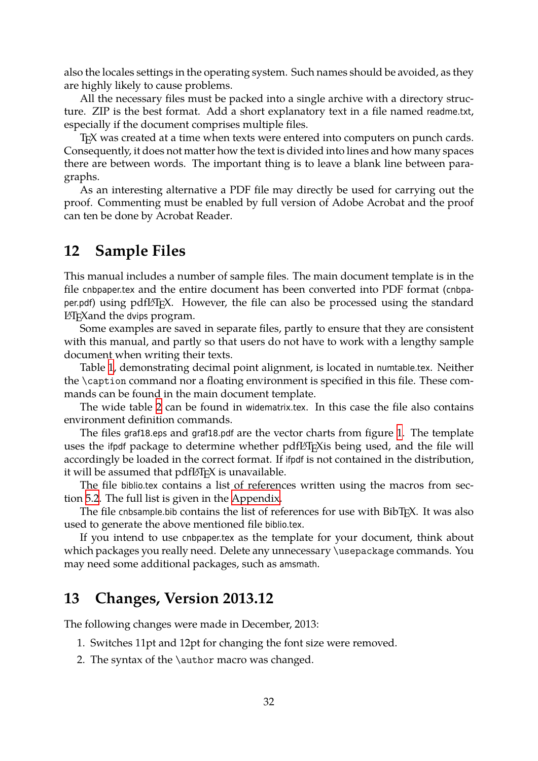also the locales settings in the operating system. Such names should be avoided, as they are highly likely to cause problems.

<span id="page-31-1"></span>All the necessary files must be packed into a single archive with a directory structure. ZIP is the best format. Add a short explanatory text in a file named readme.txt, especially if the document comprises multiple files.

TEX was created at a time when texts were entered into computers on punch cards. Consequently, it does not matter how the text is divided into lines and how many spaces there are between words. The important thing is to leave a blank line between paragraphs.

As an interesting alternative a PDF file may directly be used for carrying out the proof. Commenting must be enabled by full version of Adobe Acrobat and the proof can ten be done by Acrobat Reader.

## **12 Sample Files**

<span id="page-31-0"></span>This manual includes a number of sample files. The main document template is in the file cnbpaper.tex and the entire document has been converted into PDF format (cnbpaper.pdf) using pdfLAT<sub>E</sub>X. However, the file can also be processed using the standard LATEXand the dvips program.

Some examples are saved in separate files, partly to ensure that they are consistent with this manual, and partly so that users do not have to work with a lengthy sample document when writing their texts.

Table 1, demonstrating decimal point alignment, is located in numtable.tex. Neither the \caption command nor a floating environment is specified in this file. These commands can be found in the main document template.

The [wid](#page-23-2)e table 2 can be found in widematrix.tex. In this case the file also contains environment definition commands.

The files graf18.eps and graf18.pdf are the vector charts from figure 1. The template uses the ifpdf pack[ag](#page-27-0)e to determine whether pdfl<sup>AT</sup>EX is being used, and the file will accordingly be loaded in the correct format. If ifpdf is not contained in the distribution, it will be assumed that  $pdfBTRX$  is unavailable.

The file biblio.tex contains a list of references written using the [ma](#page-18-0)cros from section 5.2. The full list is given in the Appendix.

The file cnbsample.bib contains the list of references for use with  $BibT<sub>E</sub>X$ . It was also used to generate the above mentioned file biblio.tex.

I[f yo](#page-10-1)u intend to use cnbpaper.tex [as the te](#page-32-0)mplate for your document, think about which packages you really need. Delete any unnecessary \usepackage commands. You may need some additional packages, such as amsmath.

## **13 Changes, Version 2013.12**

The following changes were made in December, 2013:

- 1. Switches 11pt and 12pt for changing the font size were removed.
- 2. The syntax of the \author macro was changed.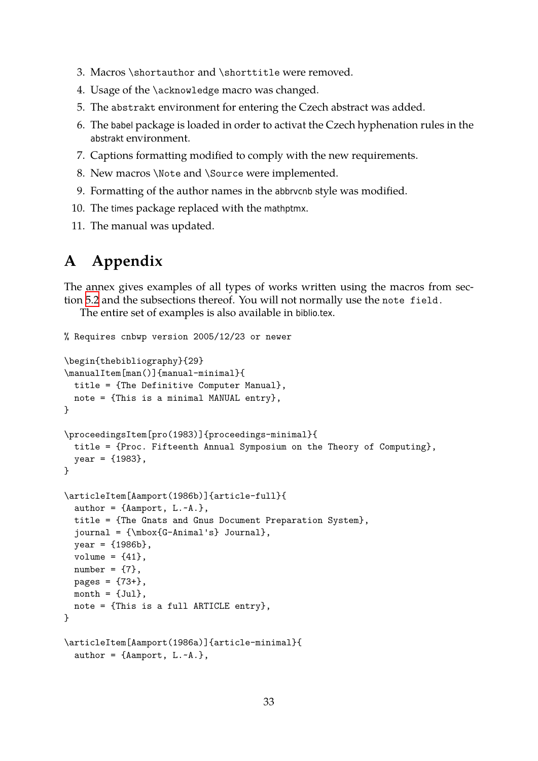- 3. Macros \shortauthor and \shorttitle were removed.
- 4. Usage of the \acknowledge macro was changed.
- <span id="page-32-1"></span>5. The abstrakt environment for entering the Czech abstract was added.
- 6. The babel package is loaded in order to activat the Czech hyphenation rules in the abstrakt environment.
- 7. Captions formatting modified to comply with the new requirements.
- 8. New macros \Note and \Source were implemented.
- 9. Formatting of the author names in the abbrvcnb style was modified.
- 10. The times package replaced with the mathptmx.
- 11. The manual was updated.

## **A Appendix**

<span id="page-32-0"></span>The annex gives examples of all types of works written using the macros from section 5.2 and the subsections thereof. You will not normally use the note field.

The entire set of examples is also available in biblio.tex.

```
% Requires cnbwp version 2005/12/23 or newer
\begin{thebibliography}{29}
\manualItem[man()]{manual-minimal}{
 title = {The Definitive Computer Manual},
 note = {This is a minimal MANUAL entry},
}
\proceedingsItem[pro(1983)]{proceedings-minimal}{
 title = {Proc. Fifteenth Annual Symposium on the Theory of Computing},
  year = {1983},
}
\articleItem[Aamport(1986b)]{article-full}{
  author = \{\text{Aamport}, L.-A.\},\title = {The Gnats and Gnus Document Preparation System},
  journal = {\mbox{G-Animal's} Journal},
  year = {1986b},
 volume = {41},
 number = \{7\},\pages = {73+},
 month = {Jul},
 note = {This is a full ARTICLE entry},
}
\articleItem[Aamport(1986a)]{article-minimal}{
  author = \{\text{Aamport}, L.-A.\},\
```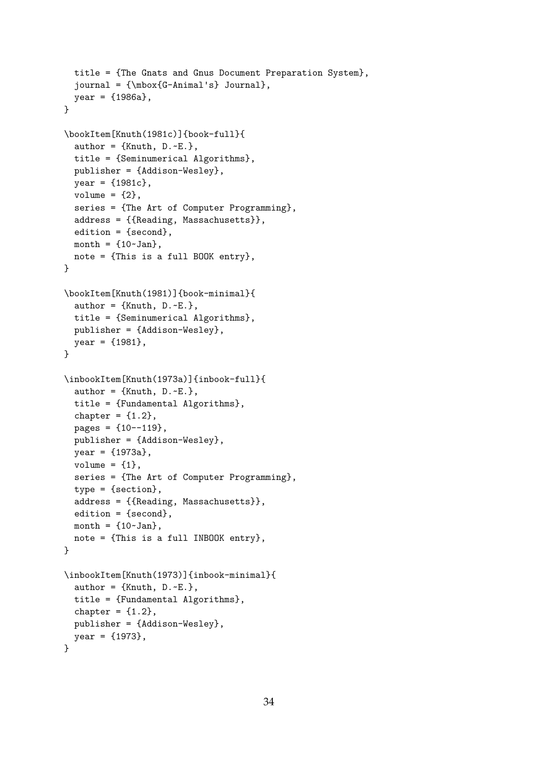```
title = {The Gnats and Gnus Document Preparation System},
  journal = {\mbox{G-Animal's} Journal},
  year = {1986a},
}
\bookItem[Knuth(1981c)]{book-full}{
  author = \{Knuth, D.~E.\},
  title = {Seminumerical Algorithms},
  publisher = {Addison-Wesley},
  year = {1981c},
  volume = {2},
  series = {The Art of Computer Programming},
  address = {{Reading, Massachusetts}},
  edition = {second},
  month = {10~Jan},
  note = {This is a full BOOK entry},
}
\bookItem[Knuth(1981)]{book-minimal}{
  author = \{Knuth, D.~E.\},
  title = {Seminumerical Algorithms},
  publisher = {Addison-Wesley},
  year = {1981},
}
\inbookItem[Knuth(1973a)]{inbook-full}{
  author = \{Knuth, D.~E.\},
  title = {Fundamental Algorithms},
  chapter = {1.2},
  pages = \{10--119\},publisher = {Addison-Wesley},
  year = {1973a},
  volume = {1},
  series = {The Art of Computer Programming},
  type = {section},
  address = {{Reading, Massachusetts}},
  edition = \{second\},
  month = {10 \times Jan},
  note = {This is a full INBOOK entry},
}
\inbookItem[Knuth(1973)]{inbook-minimal}{
  author = \{Knuth, D.~E.\},
  title = {Fundamental Algorithms},
  chapter = {1.2},
  publisher = {Addison-Wesley},
  year = {1973},
}
```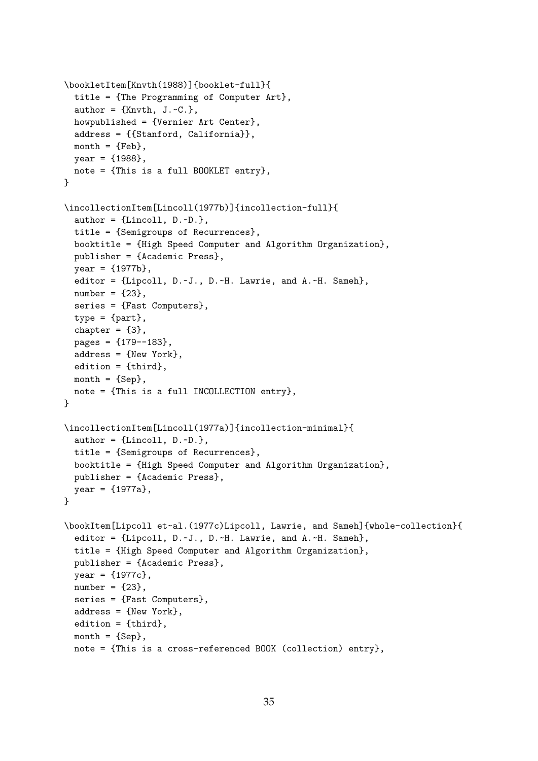```
\bookletItem[Knvth(1988)]{booklet-full}{
  title = {The Programming of Computer Art},
  author = \{Knvth, J.-C.\},howpublished = {Vernier Art Center},
  address = {{Stanford, California}},
  month = {Feb},year = {1988},
  note = {This is a full BOOKLET entry},
}
\incollectionItem[Lincoll(1977b)]{incollection-full}{
  author = \{Lincoll, D.-D.\},title = {Semigroups of Recurrences},
  booktitle = {High Speed Computer and Algorithm Organization},
  publisher = {Academic Press},
  year = {1977b},
  editor = {Lipcoll, D.~J., D.~H. Lawrie, and A.~H. Sameh},
  number = {23},
  series = {Fast Computers},
  type = {part},chapter = {3},
  pages = \{179 - -183\},address = {New York},
  edition = {third},
  month = \{Sep\},
  note = {This is a full INCOLLECTION entry},
}
\incollectionItem[Lincoll(1977a)]{incollection-minimal}{
  author = \{Lincol1, D.-D.\},title = {Semigroups of Recurrences},
  booktitle = {High Speed Computer and Algorithm Organization},
  publisher = {Academic Press},
  year = {1977a},
}
\bookItem[Lipcoll et~al.(1977c)Lipcoll, Lawrie, and Sameh]{whole-collection}{
  editor = {Lipcoll, D.~J., D.~H. Lawrie, and A.~H. Sameh},
  title = {High Speed Computer and Algorithm Organization},
  publisher = {Academic Press},
  year = {1977c},
  number = {23},
  series = {Fast Computers},
  address = {New York},
  edition = {third},
  month = \{Sep\},
  note = {This is a cross-referenced BOOK (collection) entry},
```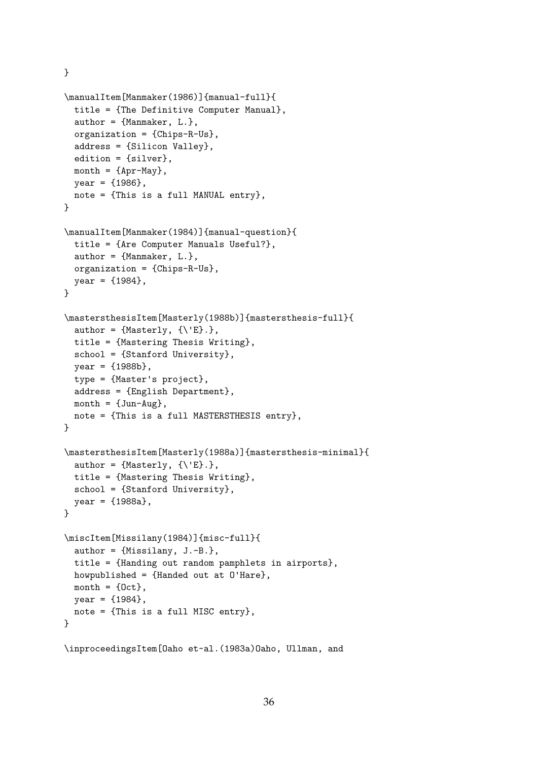}

```
\manualItem[Manmaker(1986)]{manual-full}{
  title = {The Definitive Computer Manual},
  author = {Manner, L.},
  organization = {Chips-R-Us},
  address = {Silicon Valley},
  edition = {silver},
  month = {\text{Apr-May}},year = {1986},
  note = {This is a full MANUAL entry},
}
\manualItem[Manmaker(1984)]{manual-question}{
  title = {Are Computer Manuals Useful?},
  author = {Manmaker, L.},
  organization = {Chips-R-Us},
  year = {1984},
}
\mastersthesisItem[Masterly(1988b)]{mastersthesis-full}{
  author = \{Masterly, \{\{\'\E\}\.\},
  title = {Mastering Thesis Writing},
  school = {Stanford University},
  year = {1988b},
  type = {Master's project},
  address = {English Department},
  month = \{Jun-Aug\},
  note = {This is a full MASTERSTHESIS entry},
}
\mastersthesisItem[Masterly(1988a)]{mastersthesis-minimal}{
  author = \{Masterly, \{\{\{\E\}\}\}\,
  title = {Mastering Thesis Writing},
  school = {Stanford University},
  year = {1988a},
}
\miscItem[Missilany(1984)]{misc-full}{
  author = {Missilany, J.-B.},
  title = {Handing out random pamphlets in airports},
  howpublished = {Handed out at O'Hare},
  month = \{Oct\},year = {1984},
  note = {This is a full MISC entry},
}
\inproceedingsItem[Oaho et~al.(1983a)Oaho, Ullman, and
```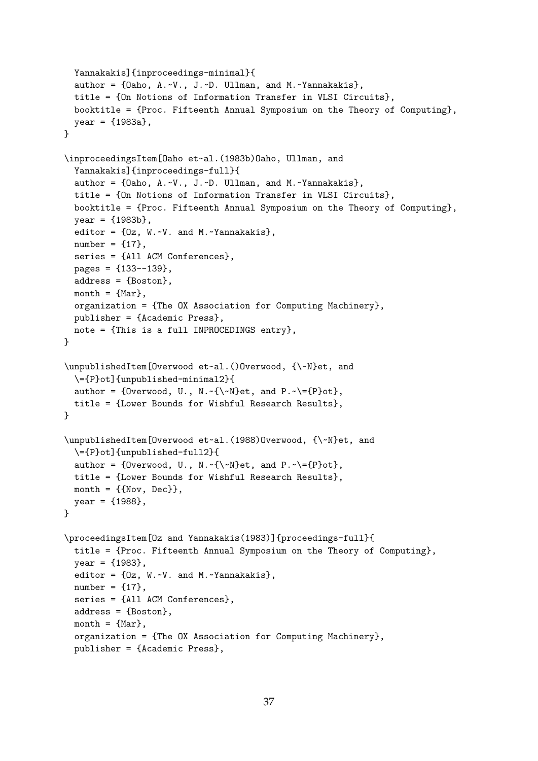```
Yannakakis]{inproceedings-minimal}{
  author = {Oaho, A.~V., J.~D. Ullman, and M.~Yannakakis},
  title = {On Notions of Information Transfer in VLSI Circuits},
  booktitle = {Proc. Fifteenth Annual Symposium on the Theory of Computing},
  year = {1983a},
}
\inproceedingsItem[Oaho et~al.(1983b)Oaho, Ullman, and
  Yannakakis]{inproceedings-full}{
  author = {Oaho, A.~V., J.~D. Ullman, and M.~Yannakakis},
  title = {On Notions of Information Transfer in VLSI Circuits},
  booktitle = {Proc. Fifteenth Annual Symposium on the Theory of Computing},
  year = {1983b},
  editor = {Oz, W.~V. and M.~Yannakakis},
  number = {17},
  series = {All ACM Conferences},
  pages = {133--139},
  address = {Boston},
  month = {Mar },
  organization = {The OX Association for Computing Machinery},
  publisher = {Academic Press},
  note = {This is a full INPROCEDINGS entry},
}
\unpublishedItem[Overwood et~al.()Overwood, {\~N}et, and
  \={P}ot]{unpublished-minimal2}{
  author = {0verwood, U., N.~{\~N}et, and P.~\={P}ot},
  title = {Lower Bounds for Wishful Research Results},
}
\unpublishedItem[Overwood et~al.(1988)Overwood, {\~N}et, and
  \={P}ot]{unpublished-full2}{
  author = {0verwood, U., N.~{\~N}et, and P.~\={P}ot},
  title = {Lower Bounds for Wishful Research Results},
  month = \{Nov, Dec\},
  year = {1988},
}
\proceedingsItem[Oz and Yannakakis(1983)]{proceedings-full}{
  title = {Proc. Fifteenth Annual Symposium on the Theory of Computing},
  year = {1983},editor = {Oz, W.~V. and M.~Yannakakis},
  number = {17},
  series = {All ACM Conferences},
  address = {Boston},
  month = {Mar },
  organization = {The OX Association for Computing Machinery},
  publisher = {Academic Press},
```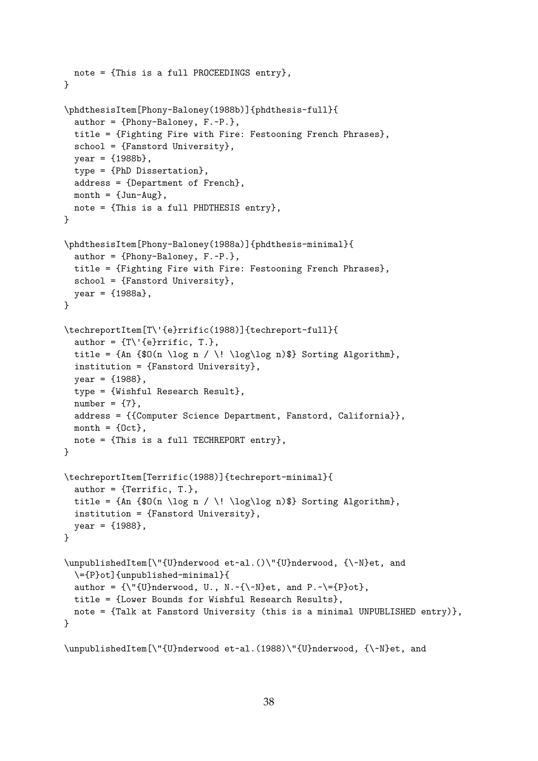```
note = {This is a full PROCEEDINGS entry},
}
\phdthesisItem[Phony-Baloney(1988b)]{phdthesis-full}{
  author = {Phony-Baloney, F.~P.},
  title = {Fighting Fire with Fire: Festooning French Phrases},
  school = {Fanstord University},
  year = {1988b},
  type = {PhD Dissertation},
  address = {Department of French},
  month = \{Jun-Aug\},
  note = {This is a full PHDTHESIS entry},
}
\phdthesisItem[Phony-Baloney(1988a)]{phdthesis-minimal}{
  author = {Phony-Baloney, F.~P.},
  title = {Fighting Fire with Fire: Festooning French Phrases},
  school = {Fanstord University},
  year = {1988a},
}
\techreportItem[T\'{e}rrific(1988)]{techreport-full}{
  author = \{T\}'\{e\}rrific, T.\},
  title = \{An \\} (n \leq n / \! \log\log n) Sorting Algorithm},
  institution = {Fanstord University},
  year = {1988},
  type = {Wishful Research Result},
  number = {7},address = {{Computer Science Department, Fanstord, California}},
  month = \{Oct\},note = {This is a full TECHREPORT entry},
}
\techreportItem[Terrific(1988)]{techreport-minimal}{
  author = \{Terrific, T.\},title = {An \f0(n \log n / \l\lbrace \log\log n \rbrace} Sorting Algorithm},
  institution = {Fanstord University},
  year = {1988},
}
\unpublishedItem[\"{U}nderwood et~al.()\"{U}nderwood, {\~N}et, and
  \={P}ot]{unpublished-minimal}{
  author = {\\Upsilon_{U}\}nderwood, U., N.~{\~N}et, and P.~\={P}ot},
  title = {Lower Bounds for Wishful Research Results},
  note = {Talk at Fanstord University (this is a minimal UNPUBLISHED entry)},
}
```

```
\unpublishedItem[\"{U}nderwood et~al.(1988)\"{U}nderwood, {\~N}et, and
```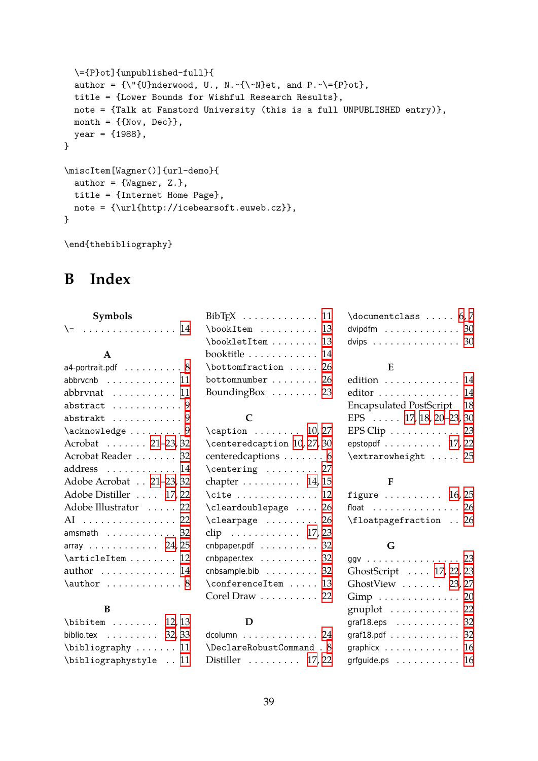```
\={P}ot]{unpublished-full}{
  author = {\\Upsilon_{U}\}nderwood, U., N.~{\\wedge\}et, and P.~{\P}ot},
  title = {Lower Bounds for Wishful Research Results},
  note = {Talk at Fanstord University (this is a full UNPUBLISHED entry)},
  month = \{\text{Nov, Dec}\},\year = {1988},
}
\miscItem[Wagner()]{url-demo}{
  author = {Wagner, Z.},
  title = {Internet Home Page},
  note = {\url{http://icebearsoft.euweb.cz}},
}
```
\end{thebibliography}

# **B Index**

<span id="page-38-0"></span>

| Symbols                                             |
|-----------------------------------------------------|
| \-  14                                              |
|                                                     |
| $\mathbf{A}$                                        |
| a4-portrait.pdf $\;\ldots\ldots\ldots\,8$           |
| $ab$ brv $cn$ b $\ldots\ldots\ldots\ldots\ 11$      |
| abbrvnat $\ldots \ldots \ldots 11$                  |
| ${\tt abstract}\quad \ldots \ldots \ldots \ldots 9$ |
| $\mathtt{abstract}\ \dots \dots \dots \dots\ 9$     |
| $\ack$ acknowledge  9                               |
| Acrobat 21-23, 32                                   |
| Acrobat Reader 32                                   |
| address  14                                         |
| Adobe Acrobat 21–23, 32                             |
| Adobe Distiller  17, 22                             |
| Adobe Illustrator  22                               |
| AI  22                                              |
| amsmath $\ldots \ldots \ldots \ldots 32$            |
| array  24, 25                                       |
| \articleItem  12                                    |
| author $\dots\dots\dots\dots$ 14                    |
| $\lambda$ $\lambda$ 8                               |
|                                                     |

#### **B**

| $\lambda$ : 12,13                        |  |
|------------------------------------------|--|
| biblio.tex $\ldots \ldots \ldots$ 32, 33 |  |
| $\big\{\n  bibliography \ldots 11\n$     |  |
| \bibliographystyle  11                   |  |

| $\boldsymbol{\lambda}$ \bookItem  13   |  |
|----------------------------------------|--|
| \bookletItem  13                       |  |
| booktitle 14                           |  |
| $\bot$ tourfraction  26                |  |
| bottomnumber $\ldots \ldots \ldots 26$ |  |
| Bounding Box $\ldots \ldots \ldots$ 23 |  |

#### **C**

| $\cap \dots \dots \dots \quad 10,27$       |  |
|--------------------------------------------|--|
| \centeredcaption 10, 27, 30                |  |
| centeredcaptions  6                        |  |
| $\verb \centering   \dots 27$              |  |
| chapter $\dots \dots \dots 14$ , 15        |  |
| $\texttt{cite} \dots \dots \dots \dots 12$ |  |
| \cleardoublepage  26                       |  |
| $\texttt{\textbackslash}$ 26               |  |
| clip 17, 23                                |  |
| $\mathsf{cnbpaper.pdf}$ $32$               |  |
| cnbpaper.tex $\ldots \ldots \ldots 32$     |  |
| cnbsample.bib $\ldots \ldots \ldots 32$    |  |
| \conferenceItem  13                        |  |
| Corel Draw $\ldots \ldots \ldots 22$       |  |
|                                            |  |

#### **D**

| dcolumn $\ldots \ldots \ldots \ldots 24$ |  |
|------------------------------------------|--|
| \DeclareRobustCommand . 8                |  |
| Distiller $\ldots \ldots \ldots 17,22$   |  |

| $\dotsc$ 5.7                                  |  |  |  |  |  |  |  |  |
|-----------------------------------------------|--|--|--|--|--|--|--|--|
| dvipdfm $\ldots \ldots \ldots \ldots 30$      |  |  |  |  |  |  |  |  |
| dvips $\ldots \ldots \ldots \ldots \ldots 30$ |  |  |  |  |  |  |  |  |

#### **E**

| edition 14                                |  |
|-------------------------------------------|--|
| editor 14                                 |  |
| Encapsulated PostScript 18                |  |
| EPS $\ldots$ 17, 18, 20–23, 30            |  |
| EPS Clip $\ldots \ldots \ldots \ldots$ 23 |  |
| epstopdf $\ldots \ldots \ldots 17,22$     |  |
| \extrarowheight  25                       |  |

#### **F**

| figure $\ldots \ldots \ldots 16, 25$   |  |
|----------------------------------------|--|
| float $\,\ldots\ldots\ldots\ldots\,26$ |  |
| \floatpagefraction  26                 |  |

#### **G**

| ggv 23                                    |  |
|-------------------------------------------|--|
| GhostScript  17, 22, 23                   |  |
| GhostView $\ldots \ldots$ 23, 27          |  |
| $Gimp$ 20                                 |  |
| gnuplot $\ldots \ldots \ldots$ 22         |  |
| graf $18.\text{eps}$ 32                   |  |
| graf $18$ .pdf 32                         |  |
| graphicx $\ldots \ldots \ldots \ldots 16$ |  |
| grfguide.ps 16                            |  |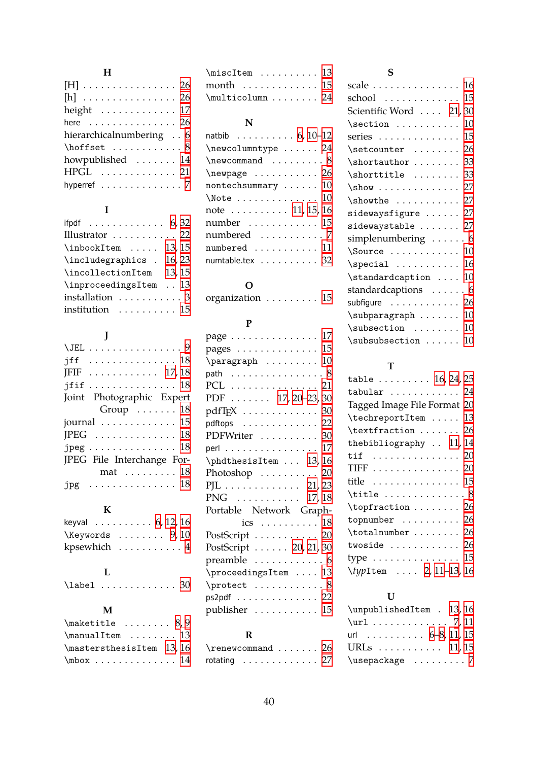## **H**

| [H]  26                                  |
|------------------------------------------|
| $[h]$ 26                                 |
| height $\ldots \ldots \ldots \ldots 17$  |
| here $\dots\dots\dots\dots\dots$ 26      |
| hierarchicalnumbering 6                  |
| $\hbox{hofiset} \ldots \ldots \ldots 8$  |
| howpublished  14                         |
| HPGL  21                                 |
| hyperref $\ldots \ldots \ldots \ldots 7$ |

### **I**

| ifpdf $\ldots \ldots \ldots \ldots 6,32$ |  |
|------------------------------------------|--|
| Illustrator  22                          |  |
| $\infty$ kinbookItem  13,15              |  |
| \includegraphics . 16,23                 |  |
| \incollectionItem 13, 15                 |  |
| \inproceedingsItem  13                   |  |
| installation  3                          |  |
| institution $\dots \dots \dots 15$       |  |

### **J**

| $\text{JEL}$ 9                              |
|---------------------------------------------|
| jff $\ldots \ldots \ldots \ldots \ldots 18$ |
| $JFIF$ 17, 18                               |
| $j$ fif  18                                 |
| Joint Photographic Expert                   |
| Group $\ldots \ldots 18$                    |
| journal $\ldots \ldots \ldots \ldots 15$    |
| $JPEG \ldots \ldots \ldots \ldots 18$       |
| $j$ peg 18                                  |
| JPEG File Interchange For-                  |
| mat 18                                      |
| $jpg$ 18                                    |

## **K**

| keyval 6, 12, 16                   |  |  |  |  |  |  |
|------------------------------------|--|--|--|--|--|--|
| $\N$ eywords  9, 10                |  |  |  |  |  |  |
| kpsewhich $\ldots \ldots \ldots 4$ |  |  |  |  |  |  |

### **L**

\label [.](#page-8-2)............ [3](#page-9-3)[0](#page-3-3)

### **M**

| $\mathcal{9}$                         |
|---------------------------------------|
| $\mathrm{lmm} \dots \dots \ 13$       |
| \mastersthesisItem 13,16              |
| $\mbox{mbox} \ldots \ldots \ldots 14$ |

| $\m{\text{miscItem} \dots \dots \ 13}$ |  |  |  |  |  |
|----------------------------------------|--|--|--|--|--|
| month $\ldots \ldots \ldots \ldots 15$ |  |  |  |  |  |
| \multicolumn  24                       |  |  |  |  |  |

## **N**

| natbib $\ldots \ldots \ldots 6, 10-12$                                                                                                                                                                                                                             |
|--------------------------------------------------------------------------------------------------------------------------------------------------------------------------------------------------------------------------------------------------------------------|
| $\newcolumntype \dots 24$                                                                                                                                                                                                                                          |
| $\neq$ $\geq$ $\geq$ $\geq$ $\geq$ $\geq$ $\geq$ $\geq$ $\geq$ $\geq$ $\geq$ $\geq$ $\geq$ $\geq$ $\geq$ $\geq$ $\geq$ $\geq$ $\geq$ $\geq$ $\geq$ $\geq$ $\geq$ $\geq$ $\geq$ $\geq$ $\geq$ $\geq$ $\geq$ $\geq$ $\geq$ $\geq$ $\geq$ $\geq$ $\geq$ $\geq$ $\geq$ |
| $\begin{bmatrix} \texttt{newpage} & \texttt{} & \texttt{} & \texttt{26} \end{bmatrix}$                                                                                                                                                                             |
| $\texttt{nontechsummary}\ \dots \dots \ 10$                                                                                                                                                                                                                        |
| $\backslash$ Note  10                                                                                                                                                                                                                                              |
| note $\ldots \ldots \ldots 11, 15, 16$                                                                                                                                                                                                                             |
| number  15                                                                                                                                                                                                                                                         |
| numbered  7                                                                                                                                                                                                                                                        |
| $numbered$ $11$                                                                                                                                                                                                                                                    |
| numtable.tex $\ldots \ldots \ldots 32$                                                                                                                                                                                                                             |

### **O**

| organization  15 |
|------------------|
|------------------|

### **P**

| page  17                                             |  |
|------------------------------------------------------|--|
| pages $\dots\dots\dots\dots\dots$ 15                 |  |
| $\{ \text{pargraph} \dots \dots \dots \ 10 \}$       |  |
| path $\;\;\ldots\;\ldots\;\ldots\;\ldots\;\ldots\;8$ |  |
| PCL 21                                               |  |
| PDF 17, 20–23, 30                                    |  |
| $pdfTeX \dots \dots \dots \dots 30$                  |  |
| $pdftops$ 22                                         |  |
| PDFWriter  30                                        |  |
| perl $\ldots \ldots \ldots \ldots \ldots \; 17$      |  |
| \phdthesisItem  13,16                                |  |
| Photoshop $\ldots \ldots \ldots 20$                  |  |
| PJL 21, 23                                           |  |
| PNG 17, 18                                           |  |
| Portable Network Graph-                              |  |
| ics $\ldots \ldots \ldots 18$                        |  |
| PostScript 20                                        |  |
| PostScript $\ldots \ldots 20, 21, 30$                |  |
| $p$ reamble $\ldots \ldots \ldots \ldots 6$          |  |
| \proceedingsItem  13                                 |  |
| $\gamma$ . $\gamma$                                  |  |
| $ps2pdf$ 22                                          |  |
| publisher  15                                        |  |
|                                                      |  |
|                                                      |  |

## **R**

| $\gamma$ 26 |  |  |  |  |  |  |  |
|-------------|--|--|--|--|--|--|--|
| rotating 27 |  |  |  |  |  |  |  |

## **S**

| scale                              | 16  |
|------------------------------------|-----|
| school                             | 15  |
| Scientific Word  21, 30            |     |
| $\setminus$ section                | 10  |
| series $\dots\dots\dots\dots\dots$ | 15  |
| \setcounter                        | 26  |
| $\verb \shortauthor $              | 33  |
| \shorttitle                        | 33  |
| $\simeq$                           | 27  |
|                                    | 27  |
| $sidewaysfigure \ldots$            | 27  |
| $sidewaystable \ldots \ldots$      | 27  |
| simplenumbering                    | . 6 |
| $\text{Source} \dots \dots \dots$  | 10  |
| $\text{Special}$                   | 16  |
| \standardcaption                   | 10  |
| standardcaptions  6                |     |
| subfigure $\dots\dots\dots\dots$   | 26  |
| $\sum_{i=1}^{n}$                   | 10  |
| $\simeq$                           | 10  |
| \subsubsection                     | 10  |

## **T**

| table $16, 24, 25$                                                      |  |
|-------------------------------------------------------------------------|--|
| $tabular \dots \dots \dots \dots \ 24$                                  |  |
| Tagged Image File Format 20                                             |  |
| \techreportItem  13                                                     |  |
| $\text{traction} \ldots \ldots 26$                                      |  |
| thebibliography  11, 14                                                 |  |
| tif $\ldots \ldots \ldots \ldots 20$                                    |  |
| TIFF 20                                                                 |  |
| title 15                                                                |  |
| $\tilde{\cdot} \cdot \cdot \cdot \cdot \cdot \cdot \cdot \cdot \cdot 8$ |  |
| $\to 26$                                                                |  |
| topnumber $\ldots \ldots \ldots 26$                                     |  |
| \totalnumber  26                                                        |  |
| twoside $\ldots \ldots \ldots 26$                                       |  |
| type $\ldots \ldots \ldots \ldots 15$                                   |  |
| \typItem  2, 11-13, 16                                                  |  |

### **U**

| \unpublishedItem . 13, 16 |  |
|---------------------------|--|
| $\url$ 7, 11              |  |
| url 6-8, 11, 15           |  |
| URLs 11, 15               |  |
| \usepackage  7            |  |